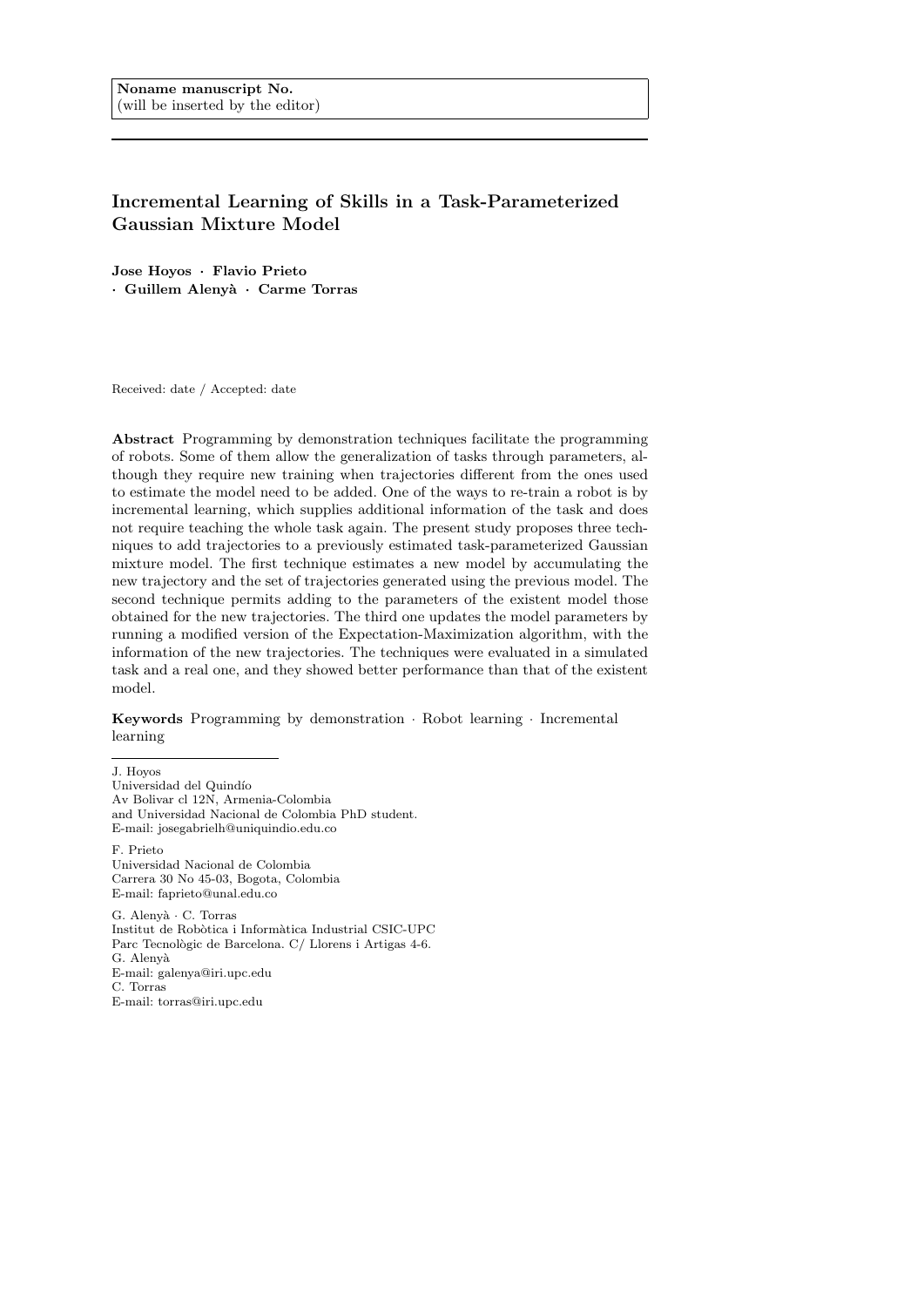# Incremental Learning of Skills in a Task-Parameterized Gaussian Mixture Model

Jose Hoyos · Flavio Prieto · Guillem Aleny`a · Carme Torras

Received: date / Accepted: date

Abstract Programming by demonstration techniques facilitate the programming of robots. Some of them allow the generalization of tasks through parameters, although they require new training when trajectories different from the ones used to estimate the model need to be added. One of the ways to re-train a robot is by incremental learning, which supplies additional information of the task and does not require teaching the whole task again. The present study proposes three techniques to add trajectories to a previously estimated task-parameterized Gaussian mixture model. The first technique estimates a new model by accumulating the new trajectory and the set of trajectories generated using the previous model. The second technique permits adding to the parameters of the existent model those obtained for the new trajectories. The third one updates the model parameters by running a modified version of the Expectation-Maximization algorithm, with the information of the new trajectories. The techniques were evaluated in a simulated task and a real one, and they showed better performance than that of the existent model.

Keywords Programming by demonstration · Robot learning · Incremental learning

J. Hoyos Universidad del Quindío Av Bolivar cl 12N, Armenia-Colombia and Universidad Nacional de Colombia PhD student. E-mail: josegabrielh@uniquindio.edu.co F. Prieto

Universidad Nacional de Colombia Carrera 30 No 45-03, Bogota, Colombia E-mail: faprieto@unal.edu.co

G. Aleny`a · C. Torras Institut de Robòtica i Informàtica Industrial CSIC-UPC Parc Tecnològic de Barcelona. C/ Llorens i Artigas 4-6. G. Alenyà E-mail: galenya@iri.upc.edu C. Torras E-mail: torras@iri.upc.edu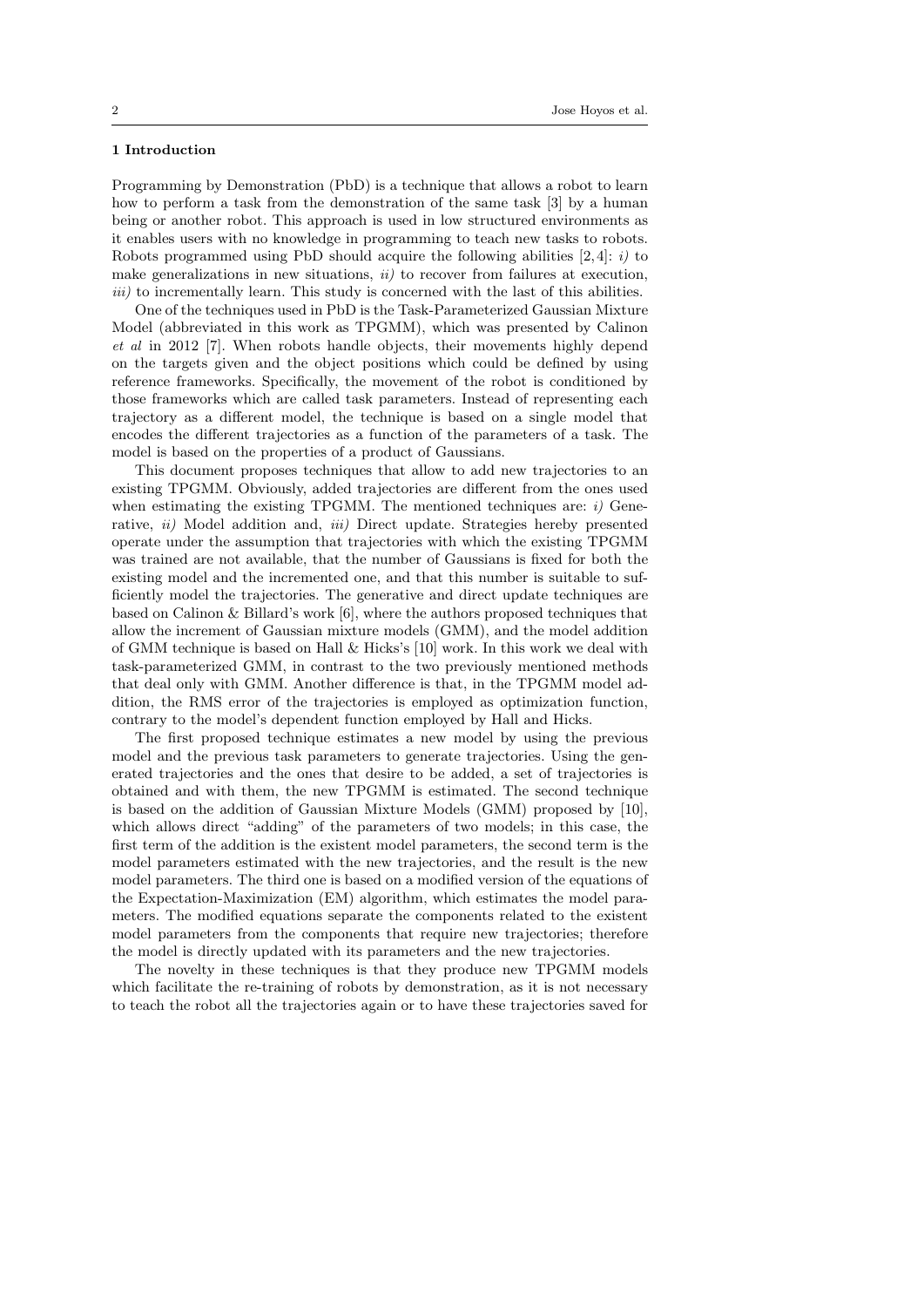### 1 Introduction

Programming by Demonstration (PbD) is a technique that allows a robot to learn how to perform a task from the demonstration of the same task [3] by a human being or another robot. This approach is used in low structured environments as it enables users with no knowledge in programming to teach new tasks to robots. Robots programmed using PbD should acquire the following abilities  $(2, 4)$ : i) to make generalizations in new situations,  $ii)$  to recover from failures at execution, iii) to incrementally learn. This study is concerned with the last of this abilities.

One of the techniques used in PbD is the Task-Parameterized Gaussian Mixture Model (abbreviated in this work as TPGMM), which was presented by Calinon et al in 2012 [7]. When robots handle objects, their movements highly depend on the targets given and the object positions which could be defined by using reference frameworks. Specifically, the movement of the robot is conditioned by those frameworks which are called task parameters. Instead of representing each trajectory as a different model, the technique is based on a single model that encodes the different trajectories as a function of the parameters of a task. The model is based on the properties of a product of Gaussians.

This document proposes techniques that allow to add new trajectories to an existing TPGMM. Obviously, added trajectories are different from the ones used when estimating the existing TPGMM. The mentioned techniques are:  $i$ ) Generative, *ii*) Model addition and, *iii*) Direct update. Strategies hereby presented operate under the assumption that trajectories with which the existing TPGMM was trained are not available, that the number of Gaussians is fixed for both the existing model and the incremented one, and that this number is suitable to sufficiently model the trajectories. The generative and direct update techniques are based on Calinon & Billard's work [6], where the authors proposed techniques that allow the increment of Gaussian mixture models (GMM), and the model addition of GMM technique is based on Hall  $\&$  Hicks's [10] work. In this work we deal with task-parameterized GMM, in contrast to the two previously mentioned methods that deal only with GMM. Another difference is that, in the TPGMM model addition, the RMS error of the trajectories is employed as optimization function, contrary to the model's dependent function employed by Hall and Hicks.

The first proposed technique estimates a new model by using the previous model and the previous task parameters to generate trajectories. Using the generated trajectories and the ones that desire to be added, a set of trajectories is obtained and with them, the new TPGMM is estimated. The second technique is based on the addition of Gaussian Mixture Models (GMM) proposed by [10], which allows direct "adding" of the parameters of two models; in this case, the first term of the addition is the existent model parameters, the second term is the model parameters estimated with the new trajectories, and the result is the new model parameters. The third one is based on a modified version of the equations of the Expectation-Maximization (EM) algorithm, which estimates the model parameters. The modified equations separate the components related to the existent model parameters from the components that require new trajectories; therefore the model is directly updated with its parameters and the new trajectories.

The novelty in these techniques is that they produce new TPGMM models which facilitate the re-training of robots by demonstration, as it is not necessary to teach the robot all the trajectories again or to have these trajectories saved for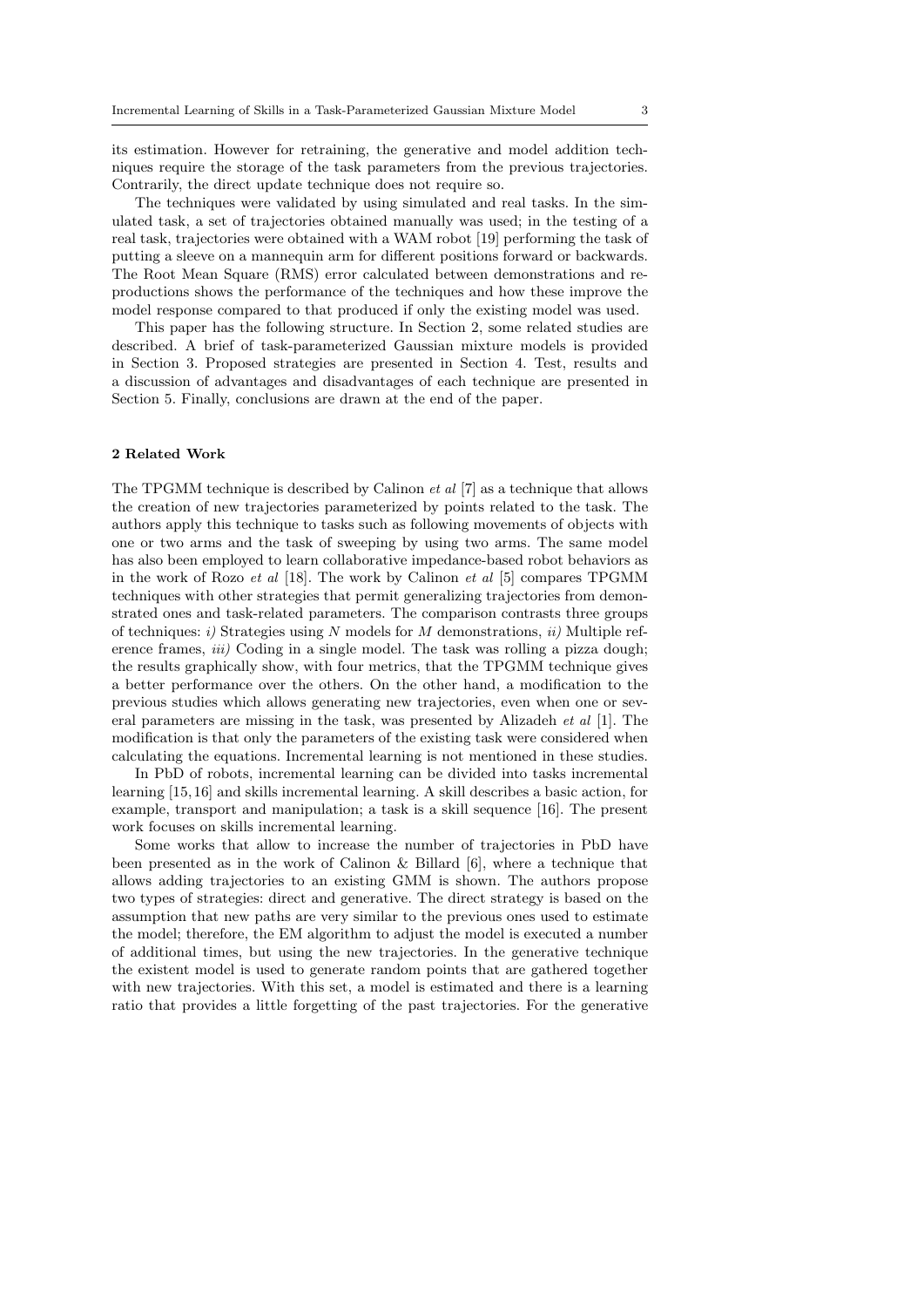its estimation. However for retraining, the generative and model addition techniques require the storage of the task parameters from the previous trajectories. Contrarily, the direct update technique does not require so.

The techniques were validated by using simulated and real tasks. In the simulated task, a set of trajectories obtained manually was used; in the testing of a real task, trajectories were obtained with a WAM robot [19] performing the task of putting a sleeve on a mannequin arm for different positions forward or backwards. The Root Mean Square (RMS) error calculated between demonstrations and reproductions shows the performance of the techniques and how these improve the model response compared to that produced if only the existing model was used.

This paper has the following structure. In Section 2, some related studies are described. A brief of task-parameterized Gaussian mixture models is provided in Section 3. Proposed strategies are presented in Section 4. Test, results and a discussion of advantages and disadvantages of each technique are presented in Section 5. Finally, conclusions are drawn at the end of the paper.

### 2 Related Work

The TPGMM technique is described by Calinon et al [7] as a technique that allows the creation of new trajectories parameterized by points related to the task. The authors apply this technique to tasks such as following movements of objects with one or two arms and the task of sweeping by using two arms. The same model has also been employed to learn collaborative impedance-based robot behaviors as in the work of Rozo *et al* [18]. The work by Calinon *et al* [5] compares TPGMM techniques with other strategies that permit generalizing trajectories from demonstrated ones and task-related parameters. The comparison contrasts three groups of techniques: i) Strategies using N models for M demonstrations, ii) Multiple reference frames,  $iii)$  Coding in a single model. The task was rolling a pizza dough; the results graphically show, with four metrics, that the TPGMM technique gives a better performance over the others. On the other hand, a modification to the previous studies which allows generating new trajectories, even when one or several parameters are missing in the task, was presented by Alizadeh et al [1]. The modification is that only the parameters of the existing task were considered when calculating the equations. Incremental learning is not mentioned in these studies.

In PbD of robots, incremental learning can be divided into tasks incremental learning [15, 16] and skills incremental learning. A skill describes a basic action, for example, transport and manipulation; a task is a skill sequence [16]. The present work focuses on skills incremental learning.

Some works that allow to increase the number of trajectories in PbD have been presented as in the work of Calinon  $\&$  Billard [6], where a technique that allows adding trajectories to an existing GMM is shown. The authors propose two types of strategies: direct and generative. The direct strategy is based on the assumption that new paths are very similar to the previous ones used to estimate the model; therefore, the EM algorithm to adjust the model is executed a number of additional times, but using the new trajectories. In the generative technique the existent model is used to generate random points that are gathered together with new trajectories. With this set, a model is estimated and there is a learning ratio that provides a little forgetting of the past trajectories. For the generative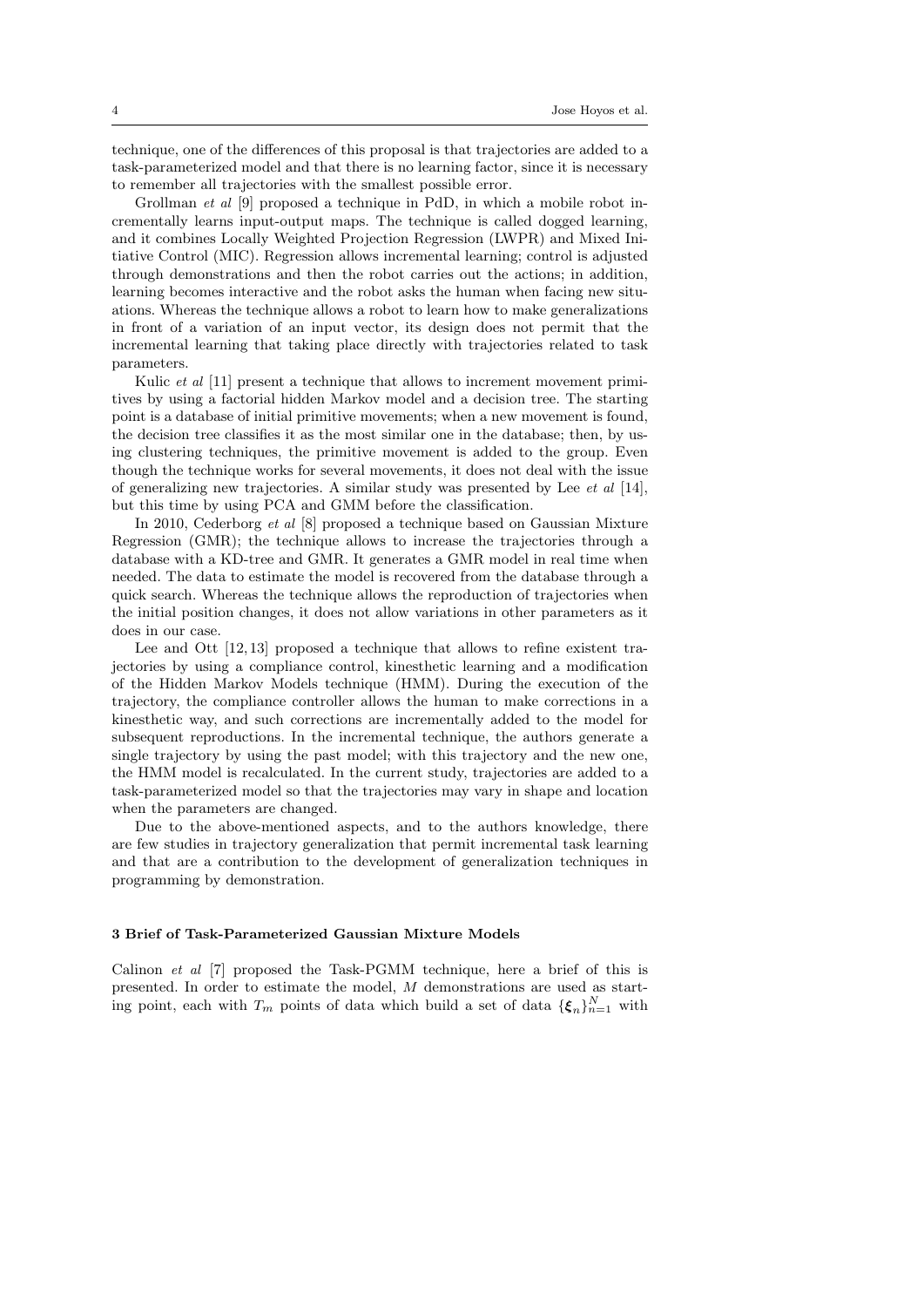technique, one of the differences of this proposal is that trajectories are added to a task-parameterized model and that there is no learning factor, since it is necessary to remember all trajectories with the smallest possible error.

Grollman *et al* [9] proposed a technique in PdD, in which a mobile robot incrementally learns input-output maps. The technique is called dogged learning, and it combines Locally Weighted Projection Regression (LWPR) and Mixed Initiative Control (MIC). Regression allows incremental learning; control is adjusted through demonstrations and then the robot carries out the actions; in addition, learning becomes interactive and the robot asks the human when facing new situations. Whereas the technique allows a robot to learn how to make generalizations in front of a variation of an input vector, its design does not permit that the incremental learning that taking place directly with trajectories related to task parameters.

Kulic *et al* [11] present a technique that allows to increment movement primitives by using a factorial hidden Markov model and a decision tree. The starting point is a database of initial primitive movements; when a new movement is found, the decision tree classifies it as the most similar one in the database; then, by using clustering techniques, the primitive movement is added to the group. Even though the technique works for several movements, it does not deal with the issue of generalizing new trajectories. A similar study was presented by Lee  $et \, al \, [14]$ , but this time by using PCA and GMM before the classification.

In 2010, Cederborg et al [8] proposed a technique based on Gaussian Mixture Regression (GMR); the technique allows to increase the trajectories through a database with a KD-tree and GMR. It generates a GMR model in real time when needed. The data to estimate the model is recovered from the database through a quick search. Whereas the technique allows the reproduction of trajectories when the initial position changes, it does not allow variations in other parameters as it does in our case.

Lee and Ott [12,13] proposed a technique that allows to refine existent trajectories by using a compliance control, kinesthetic learning and a modification of the Hidden Markov Models technique (HMM). During the execution of the trajectory, the compliance controller allows the human to make corrections in a kinesthetic way, and such corrections are incrementally added to the model for subsequent reproductions. In the incremental technique, the authors generate a single trajectory by using the past model; with this trajectory and the new one, the HMM model is recalculated. In the current study, trajectories are added to a task-parameterized model so that the trajectories may vary in shape and location when the parameters are changed.

Due to the above-mentioned aspects, and to the authors knowledge, there are few studies in trajectory generalization that permit incremental task learning and that are a contribution to the development of generalization techniques in programming by demonstration.

#### 3 Brief of Task-Parameterized Gaussian Mixture Models

Calinon et al [7] proposed the Task-PGMM technique, here a brief of this is presented. In order to estimate the model, M demonstrations are used as starting point, each with  $T_m$  points of data which build a set of data  $\{\boldsymbol{\xi}_n\}_{n=1}^N$  with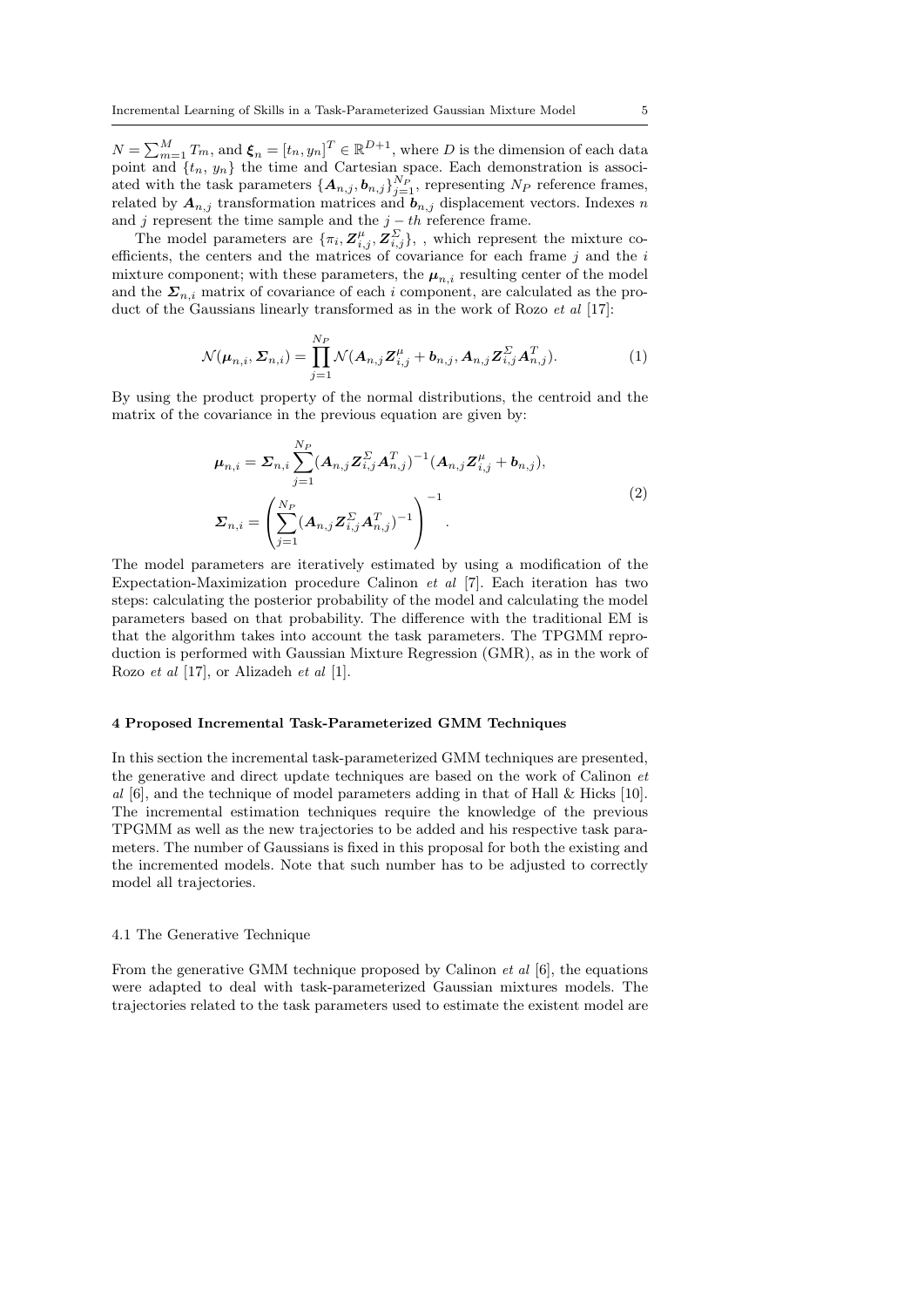$N = \sum_{m=1}^{M} T_m$ , and  $\xi_n = [t_n, y_n]^T \in \mathbb{R}^{D+1}$ , where D is the dimension of each data point and  $\{t_n, y_n\}$  the time and Cartesian space. Each demonstration is associated with the task parameters  $\{A_{n,j}, \boldsymbol{b}_{n,j}\}_{j=1}^{N_P}$ , representing  $N_P$  reference frames, related by  $A_{n,j}$  transformation matrices and  $b_{n,j}$  displacement vectors. Indexes n and j represent the time sample and the  $j - th$  reference frame.

The model parameters are  $\{\pi_i, \mathbf{Z}_{i,j}^{\mu}, \mathbf{Z}_{i,j}^{\Sigma}\},$ , which represent the mixture coefficients, the centers and the matrices of covariance for each frame  $j$  and the  $i$ mixture component; with these parameters, the  $\mu_{n,i}$  resulting center of the model and the  $\Sigma_{n,i}$  matrix of covariance of each i component, are calculated as the product of the Gaussians linearly transformed as in the work of Rozo *et al* [17]:

$$
\mathcal{N}(\boldsymbol{\mu}_{n,i}, \boldsymbol{\Sigma}_{n,i}) = \prod_{j=1}^{N_P} \mathcal{N}(\boldsymbol{A}_{n,j} \boldsymbol{Z}_{i,j}^{\mu} + \boldsymbol{b}_{n,j}, \boldsymbol{A}_{n,j} \boldsymbol{Z}_{i,j}^{\Sigma} \boldsymbol{A}_{n,j}^T). \tag{1}
$$

By using the product property of the normal distributions, the centroid and the matrix of the covariance in the previous equation are given by:

$$
\mu_{n,i} = \Sigma_{n,i} \sum_{j=1}^{N_P} (A_{n,j} Z_{i,j}^{\Sigma} A_{n,j}^T)^{-1} (A_{n,j} Z_{i,j}^{\mu} + b_{n,j}),
$$
  

$$
\Sigma_{n,i} = \left( \sum_{j=1}^{N_P} (A_{n,j} Z_{i,j}^{\Sigma} A_{n,j}^T)^{-1} \right)^{-1}.
$$
 (2)

The model parameters are iteratively estimated by using a modification of the Expectation-Maximization procedure Calinon et al [7]. Each iteration has two steps: calculating the posterior probability of the model and calculating the model parameters based on that probability. The difference with the traditional EM is that the algorithm takes into account the task parameters. The TPGMM reproduction is performed with Gaussian Mixture Regression (GMR), as in the work of Rozo et al [17], or Alizadeh et al [1].

### 4 Proposed Incremental Task-Parameterized GMM Techniques

In this section the incremental task-parameterized GMM techniques are presented, the generative and direct update techniques are based on the work of Calinon et al [6], and the technique of model parameters adding in that of Hall & Hicks [10]. The incremental estimation techniques require the knowledge of the previous TPGMM as well as the new trajectories to be added and his respective task parameters. The number of Gaussians is fixed in this proposal for both the existing and the incremented models. Note that such number has to be adjusted to correctly model all trajectories.

### 4.1 The Generative Technique

From the generative GMM technique proposed by Calinon  $et \, al \, [6]$ , the equations were adapted to deal with task-parameterized Gaussian mixtures models. The trajectories related to the task parameters used to estimate the existent model are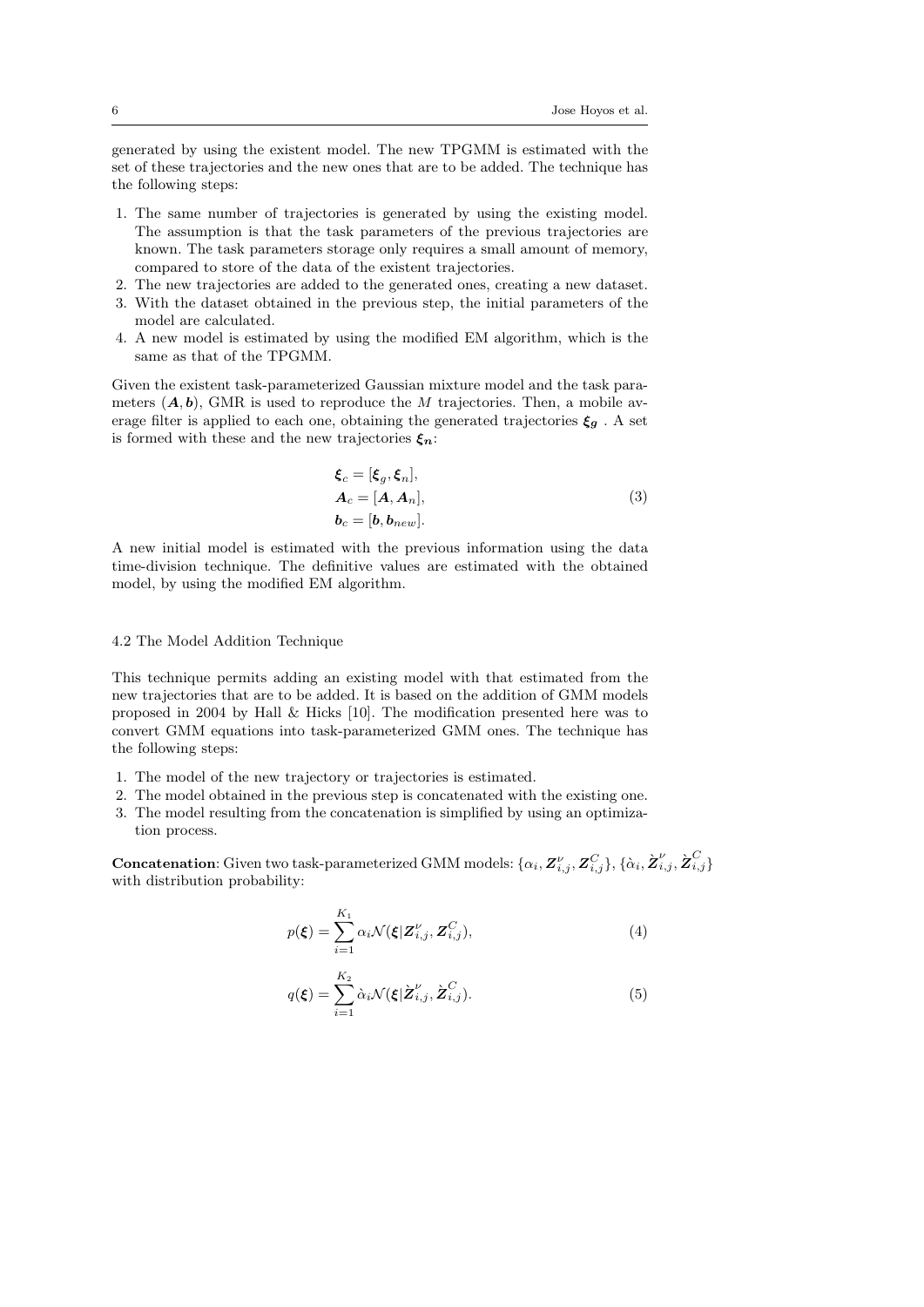generated by using the existent model. The new TPGMM is estimated with the set of these trajectories and the new ones that are to be added. The technique has the following steps:

- 1. The same number of trajectories is generated by using the existing model. The assumption is that the task parameters of the previous trajectories are known. The task parameters storage only requires a small amount of memory, compared to store of the data of the existent trajectories.
- 2. The new trajectories are added to the generated ones, creating a new dataset.
- 3. With the dataset obtained in the previous step, the initial parameters of the model are calculated.
- 4. A new model is estimated by using the modified EM algorithm, which is the same as that of the TPGMM.

Given the existent task-parameterized Gaussian mixture model and the task parameters  $(A, b)$ , GMR is used to reproduce the M trajectories. Then, a mobile average filter is applied to each one, obtaining the generated trajectories  $\xi_q$ . A set is formed with these and the new trajectories  $\xi_n$ :

$$
\begin{aligned}\n\boldsymbol{\xi}_c &= [\boldsymbol{\xi}_g, \boldsymbol{\xi}_n], \\
\boldsymbol{A}_c &= [\boldsymbol{A}, \boldsymbol{A}_n], \\
\boldsymbol{b}_c &= [\boldsymbol{b}, \boldsymbol{b}_{new}].\n\end{aligned} \tag{3}
$$

A new initial model is estimated with the previous information using the data time-division technique. The definitive values are estimated with the obtained model, by using the modified EM algorithm.

### 4.2 The Model Addition Technique

This technique permits adding an existing model with that estimated from the new trajectories that are to be added. It is based on the addition of GMM models proposed in 2004 by Hall & Hicks [10]. The modification presented here was to convert GMM equations into task-parameterized GMM ones. The technique has the following steps:

- 1. The model of the new trajectory or trajectories is estimated.
- 2. The model obtained in the previous step is concatenated with the existing one.
- 3. The model resulting from the concatenation is simplified by using an optimization process.

Concatenation: Given two task-parameterized GMM models:  $\{\alpha_i, \mathbf{Z}_{i,j}^\nu, \mathbf{Z}_{i,j}^C\}$ ,  $\{\alpha_i, \dot{\mathbf{Z}}_{i,j}^\nu, \dot{\mathbf{Z}}_{i,j}^C\}$ with distribution probability:

$$
p(\boldsymbol{\xi}) = \sum_{i=1}^{K_1} \alpha_i \mathcal{N}(\boldsymbol{\xi} | \mathbf{Z}_{i,j}^{\nu}, \mathbf{Z}_{i,j}^C),
$$
\n(4)

$$
q(\boldsymbol{\xi}) = \sum_{i=1}^{K_2} \alpha_i \mathcal{N}(\boldsymbol{\xi} | \boldsymbol{\Sigma}_{i,j}^{\nu}, \boldsymbol{\Sigma}_{i,j}^C). \tag{5}
$$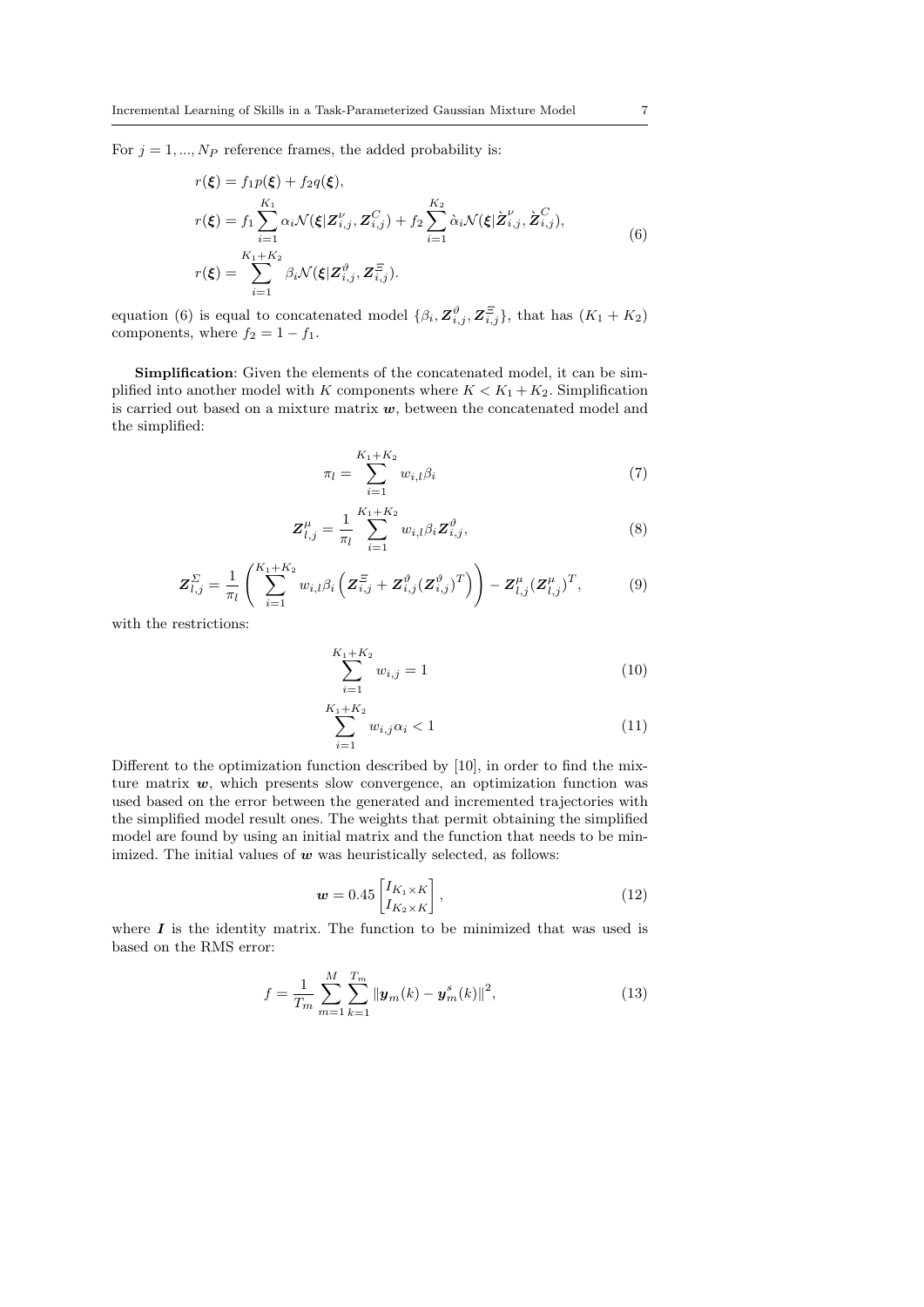For  $j = 1, ..., N<sub>P</sub>$  reference frames, the added probability is:

$$
r(\boldsymbol{\xi}) = f_1 p(\boldsymbol{\xi}) + f_2 q(\boldsymbol{\xi}),
$$
  
\n
$$
r(\boldsymbol{\xi}) = f_1 \sum_{i=1}^{K_1} \alpha_i \mathcal{N}(\boldsymbol{\xi} | \mathbf{Z}_{i,j}^{\nu}, \mathbf{Z}_{i,j}^C) + f_2 \sum_{i=1}^{K_2} \alpha_i \mathcal{N}(\boldsymbol{\xi} | \mathbf{Z}_{i,j}^{\nu}, \mathbf{Z}_{i,j}^C),
$$
  
\n
$$
r(\boldsymbol{\xi}) = \sum_{i=1}^{K_1 + K_2} \beta_i \mathcal{N}(\boldsymbol{\xi} | \mathbf{Z}_{i,j}^{\vartheta}, \mathbf{Z}_{i,j}^C).
$$
\n(6)

equation (6) is equal to concatenated model  $\{\beta_i, \mathbf{Z}_{i,j}^{\vartheta}, \mathbf{Z}_{i,j}^{\Xi}\},$  that has  $(K_1 + K_2)$ components, where  $f_2 = 1 - f_1$ .

Simplification: Given the elements of the concatenated model, it can be simplified into another model with K components where  $K < K_1 + K_2$ . Simplification is carried out based on a mixture matrix  $w$ , between the concatenated model and the simplified:

$$
\pi_l = \sum_{i=1}^{K_1 + K_2} w_{i,l} \beta_i \tag{7}
$$

$$
\mathbf{Z}_{l,j}^{\mu} = \frac{1}{\pi_l} \sum_{i=1}^{K_1 + K_2} w_{i,l} \beta_i \mathbf{Z}_{i,j}^{\vartheta},
$$
\n(8)

$$
\boldsymbol{Z}_{l,j}^{\Sigma} = \frac{1}{\pi_l} \left( \sum_{i=1}^{K_1 + K_2} w_{i,l} \beta_i \left( \boldsymbol{Z}_{i,j}^{\Xi} + \boldsymbol{Z}_{i,j}^{\vartheta} (\boldsymbol{Z}_{i,j}^{\vartheta})^T \right) \right) - \boldsymbol{Z}_{l,j}^{\mu} (\boldsymbol{Z}_{l,j}^{\mu})^T, \tag{9}
$$

with the restrictions:

$$
\sum_{i=1}^{K_1+K_2} w_{i,j} = 1
$$
\n(10)

$$
\sum_{i=1}^{K_1+K_2} w_{i,j}\alpha_i < 1\tag{11}
$$

Different to the optimization function described by [10], in order to find the mixture matrix  $w$ , which presents slow convergence, an optimization function was used based on the error between the generated and incremented trajectories with the simplified model result ones. The weights that permit obtaining the simplified model are found by using an initial matrix and the function that needs to be minimized. The initial values of  $w$  was heuristically selected, as follows:

$$
\mathbf{w} = 0.45 \begin{bmatrix} I_{K_1 \times K} \\ I_{K_2 \times K} \end{bmatrix},\tag{12}
$$

where  $I$  is the identity matrix. The function to be minimized that was used is based on the RMS error:

$$
f = \frac{1}{T_m} \sum_{m=1}^{M} \sum_{k=1}^{T_m} ||\mathbf{y}_m(k) - \mathbf{y}_m^s(k)||^2,
$$
 (13)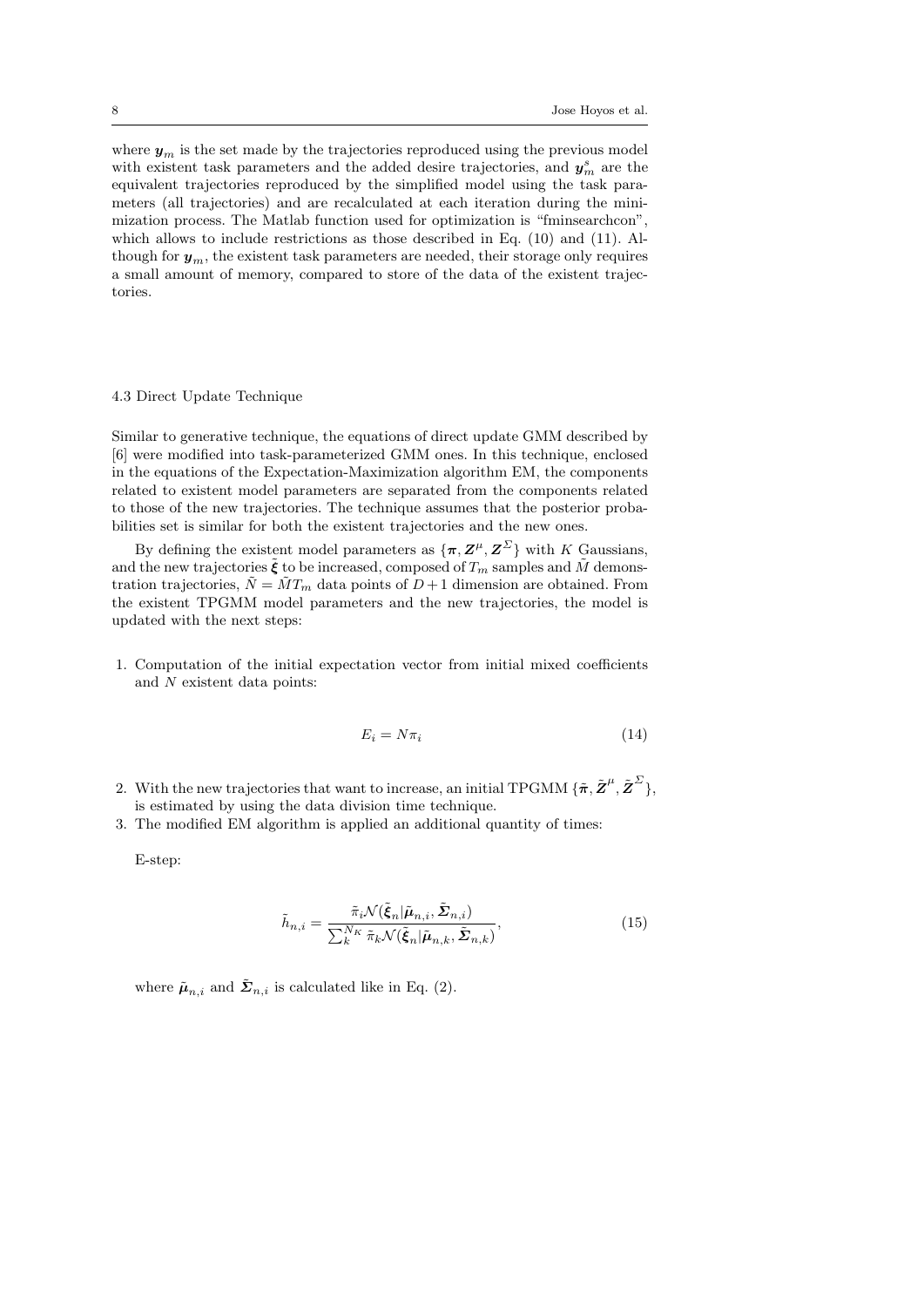where  $y_m$  is the set made by the trajectories reproduced using the previous model with existent task parameters and the added desire trajectories, and  $y_m^s$  are the equivalent trajectories reproduced by the simplified model using the task parameters (all trajectories) and are recalculated at each iteration during the minimization process. The Matlab function used for optimization is "fminsearchcon", which allows to include restrictions as those described in Eq. (10) and (11). Although for  $y_m$ , the existent task parameters are needed, their storage only requires a small amount of memory, compared to store of the data of the existent trajectories.

#### 4.3 Direct Update Technique

Similar to generative technique, the equations of direct update GMM described by [6] were modified into task-parameterized GMM ones. In this technique, enclosed in the equations of the Expectation-Maximization algorithm EM, the components related to existent model parameters are separated from the components related to those of the new trajectories. The technique assumes that the posterior probabilities set is similar for both the existent trajectories and the new ones.

By defining the existent model parameters as  $\{\pi, Z^{\mu}, Z^{\Sigma}\}\$  with K Gaussians, and the new trajectories  $\tilde{\boldsymbol{\xi}}$  to be increased, composed of  $T_m$  samples and  $\tilde{M}$  demonstration trajectories,  $\tilde{N} = \tilde{M}T_m$  data points of  $D+1$  dimension are obtained. From the existent TPGMM model parameters and the new trajectories, the model is updated with the next steps:

1. Computation of the initial expectation vector from initial mixed coefficients and N existent data points:

$$
E_i = N\pi_i \tag{14}
$$

- 2. With the new trajectories that want to increase, an initial TPGMM  $\{\tilde{\pi}, \tilde{\boldsymbol{Z}}^{\mu}, \tilde{\boldsymbol{Z}}^{\Sigma}\}$ is estimated by using the data division time technique.
- 3. The modified EM algorithm is applied an additional quantity of times:

E-step:

$$
\tilde{h}_{n,i} = \frac{\tilde{\pi}_i \mathcal{N}(\tilde{\xi}_n | \tilde{\mu}_{n,i}, \tilde{\Sigma}_{n,i})}{\sum_{k}^{N_K} \tilde{\pi}_k \mathcal{N}(\tilde{\xi}_n | \tilde{\mu}_{n,k}, \tilde{\Sigma}_{n,k})},\tag{15}
$$

where  $\tilde{\mu}_{n,i}$  and  $\tilde{\Sigma}_{n,i}$  is calculated like in Eq. (2).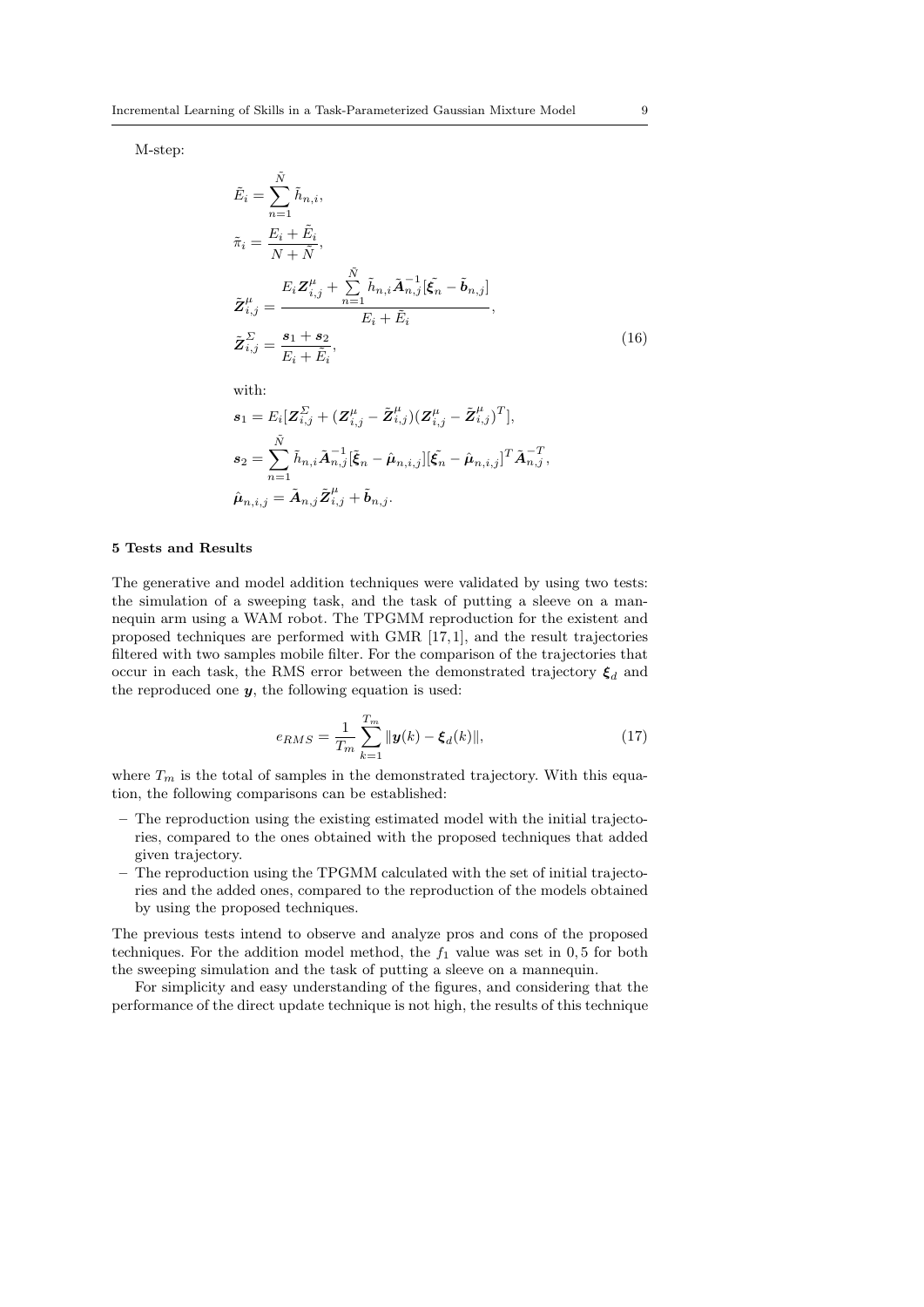M-step:

$$
\tilde{E}_{i} = \sum_{n=1}^{\tilde{N}} \tilde{h}_{n,i},
$$
\n
$$
\tilde{\pi}_{i} = \frac{E_{i} + \tilde{E}_{i}}{N + \tilde{N}},
$$
\n
$$
\tilde{Z}_{i,j}^{\mu} = \frac{E_{i} Z_{i,j}^{\mu} + \sum_{n=1}^{\tilde{N}} \tilde{h}_{n,i} \tilde{A}_{n,j}^{-1} [\tilde{\xi}_{n} - \tilde{b}_{n,j}]}{E_{i} + \tilde{E}_{i}},
$$
\n
$$
\tilde{Z}_{i,j}^{\Sigma} = \frac{s_{1} + s_{2}}{E_{i} + \tilde{E}_{i}},
$$
\n(16)

with:

$$
s_1 = E_i \left[ \mathbf{Z}_{i,j}^{\Sigma} + (\mathbf{Z}_{i,j}^{\mu} - \tilde{\mathbf{Z}}_{i,j}^{\mu}) (\mathbf{Z}_{i,j}^{\mu} - \tilde{\mathbf{Z}}_{i,j}^{\mu})^T \right],
$$
  
\n
$$
s_2 = \sum_{n=1}^{\tilde{N}} \tilde{h}_{n,i} \tilde{\mathbf{A}}_{n,j}^{-1} [\tilde{\xi}_n - \hat{\boldsymbol{\mu}}_{n,i,j}] [\tilde{\xi}_n - \hat{\boldsymbol{\mu}}_{n,i,j}]^T \tilde{\mathbf{A}}_{n,j}^{-T},
$$
  
\n
$$
\hat{\boldsymbol{\mu}}_{n,i,j} = \tilde{\mathbf{A}}_{n,j} \tilde{\mathbf{Z}}_{i,j}^{\mu} + \tilde{\mathbf{b}}_{n,j}.
$$

#### 5 Tests and Results

The generative and model addition techniques were validated by using two tests: the simulation of a sweeping task, and the task of putting a sleeve on a mannequin arm using a WAM robot. The TPGMM reproduction for the existent and proposed techniques are performed with GMR [17, 1], and the result trajectories filtered with two samples mobile filter. For the comparison of the trajectories that occur in each task, the RMS error between the demonstrated trajectory  $\xi_d$  and the reproduced one  $y$ , the following equation is used:

$$
e_{RMS} = \frac{1}{T_m} \sum_{k=1}^{T_m} ||\mathbf{y}(k) - \xi_d(k)||,
$$
\n(17)

where  $T_m$  is the total of samples in the demonstrated trajectory. With this equation, the following comparisons can be established:

- The reproduction using the existing estimated model with the initial trajectories, compared to the ones obtained with the proposed techniques that added given trajectory.
- The reproduction using the TPGMM calculated with the set of initial trajectories and the added ones, compared to the reproduction of the models obtained by using the proposed techniques.

The previous tests intend to observe and analyze pros and cons of the proposed techniques. For the addition model method, the  $f_1$  value was set in 0,5 for both the sweeping simulation and the task of putting a sleeve on a mannequin.

For simplicity and easy understanding of the figures, and considering that the performance of the direct update technique is not high, the results of this technique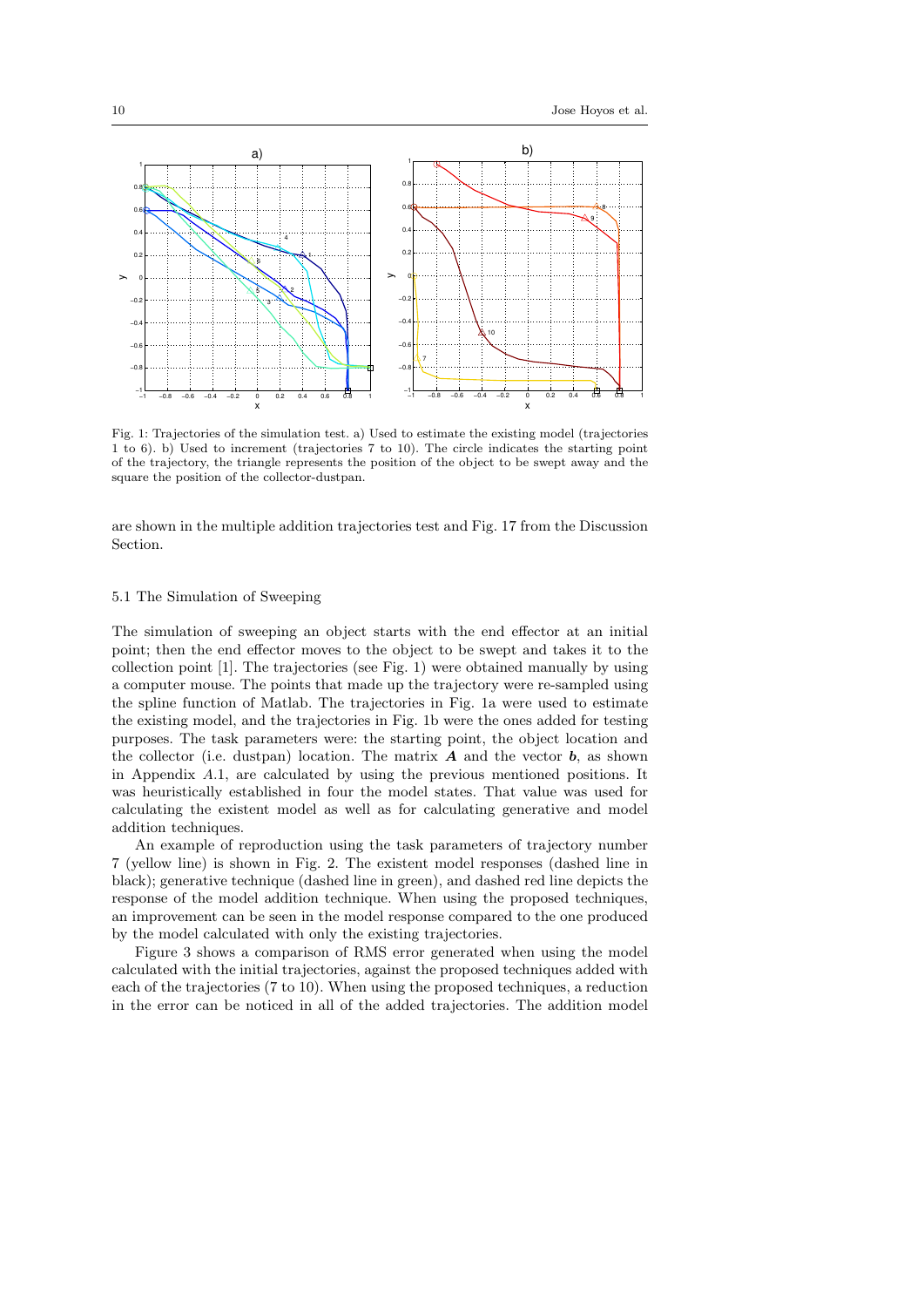

Fig. 1: Trajectories of the simulation test. a) Used to estimate the existing model (trajectories 1 to 6). b) Used to increment (trajectories 7 to 10). The circle indicates the starting point of the trajectory, the triangle represents the position of the object to be swept away and the square the position of the collector-dustpan.

are shown in the multiple addition trajectories test and Fig. 17 from the Discussion Section.

### 5.1 The Simulation of Sweeping

The simulation of sweeping an object starts with the end effector at an initial point; then the end effector moves to the object to be swept and takes it to the collection point [1]. The trajectories (see Fig. 1) were obtained manually by using a computer mouse. The points that made up the trajectory were re-sampled using the spline function of Matlab. The trajectories in Fig. 1a were used to estimate the existing model, and the trajectories in Fig. 1b were the ones added for testing purposes. The task parameters were: the starting point, the object location and the collector (i.e. dustpan) location. The matrix  $A$  and the vector  $b$ , as shown in Appendix A.1, are calculated by using the previous mentioned positions. It was heuristically established in four the model states. That value was used for calculating the existent model as well as for calculating generative and model addition techniques.

An example of reproduction using the task parameters of trajectory number 7 (yellow line) is shown in Fig. 2. The existent model responses (dashed line in black); generative technique (dashed line in green), and dashed red line depicts the response of the model addition technique. When using the proposed techniques, an improvement can be seen in the model response compared to the one produced by the model calculated with only the existing trajectories.

Figure 3 shows a comparison of RMS error generated when using the model calculated with the initial trajectories, against the proposed techniques added with each of the trajectories (7 to 10). When using the proposed techniques, a reduction in the error can be noticed in all of the added trajectories. The addition model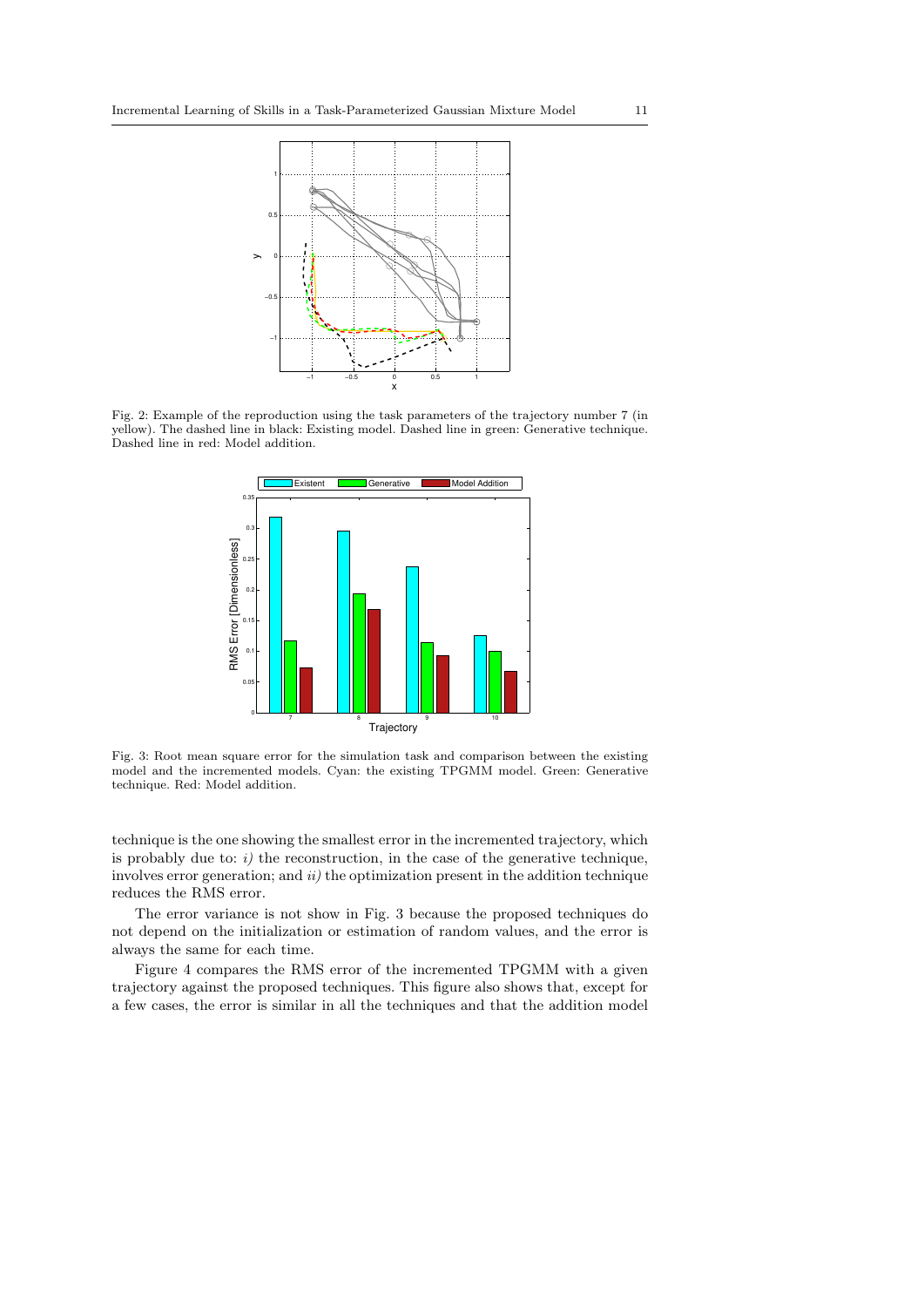

Fig. 2: Example of the reproduction using the task parameters of the trajectory number 7 (in yellow). The dashed line in black: Existing model. Dashed line in green: Generative technique. Dashed line in red: Model addition.



Fig. 3: Root mean square error for the simulation task and comparison between the existing model and the incremented models. Cyan: the existing TPGMM model. Green: Generative technique. Red: Model addition.

technique is the one showing the smallest error in the incremented trajectory, which is probably due to:  $i$ ) the reconstruction, in the case of the generative technique, involves error generation; and  $ii$ ) the optimization present in the addition technique reduces the RMS error.

The error variance is not show in Fig. 3 because the proposed techniques do not depend on the initialization or estimation of random values, and the error is always the same for each time.

Figure 4 compares the RMS error of the incremented TPGMM with a given trajectory against the proposed techniques. This figure also shows that, except for a few cases, the error is similar in all the techniques and that the addition model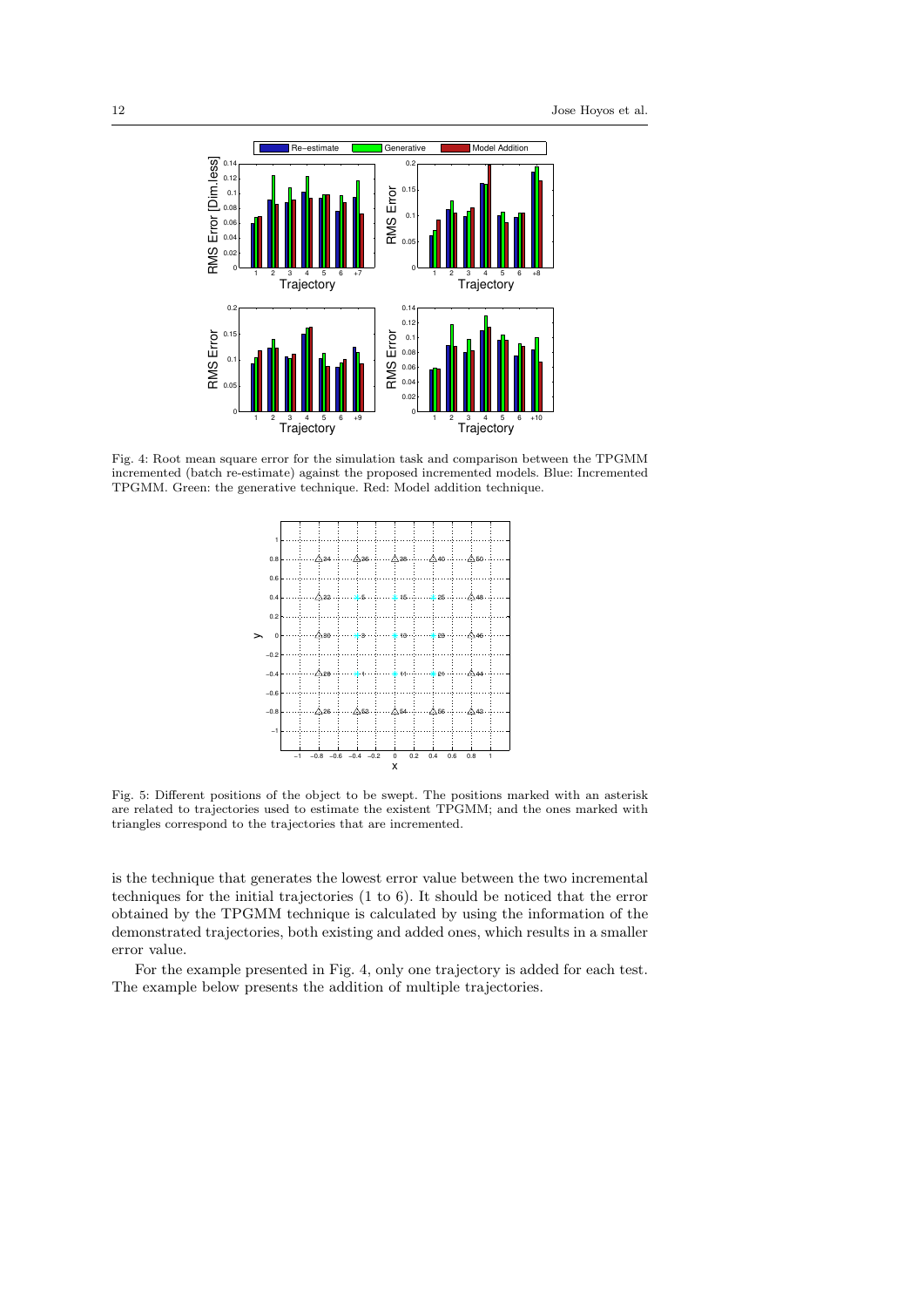

Fig. 4: Root mean square error for the simulation task and comparison between the TPGMM incremented (batch re-estimate) against the proposed incremented models. Blue: Incremented TPGMM. Green: the generative technique. Red: Model addition technique.



Fig. 5: Different positions of the object to be swept. The positions marked with an asterisk are related to trajectories used to estimate the existent TPGMM; and the ones marked with triangles correspond to the trajectories that are incremented.

is the technique that generates the lowest error value between the two incremental techniques for the initial trajectories (1 to 6). It should be noticed that the error obtained by the TPGMM technique is calculated by using the information of the demonstrated trajectories, both existing and added ones, which results in a smaller error value.

For the example presented in Fig. 4, only one trajectory is added for each test. The example below presents the addition of multiple trajectories.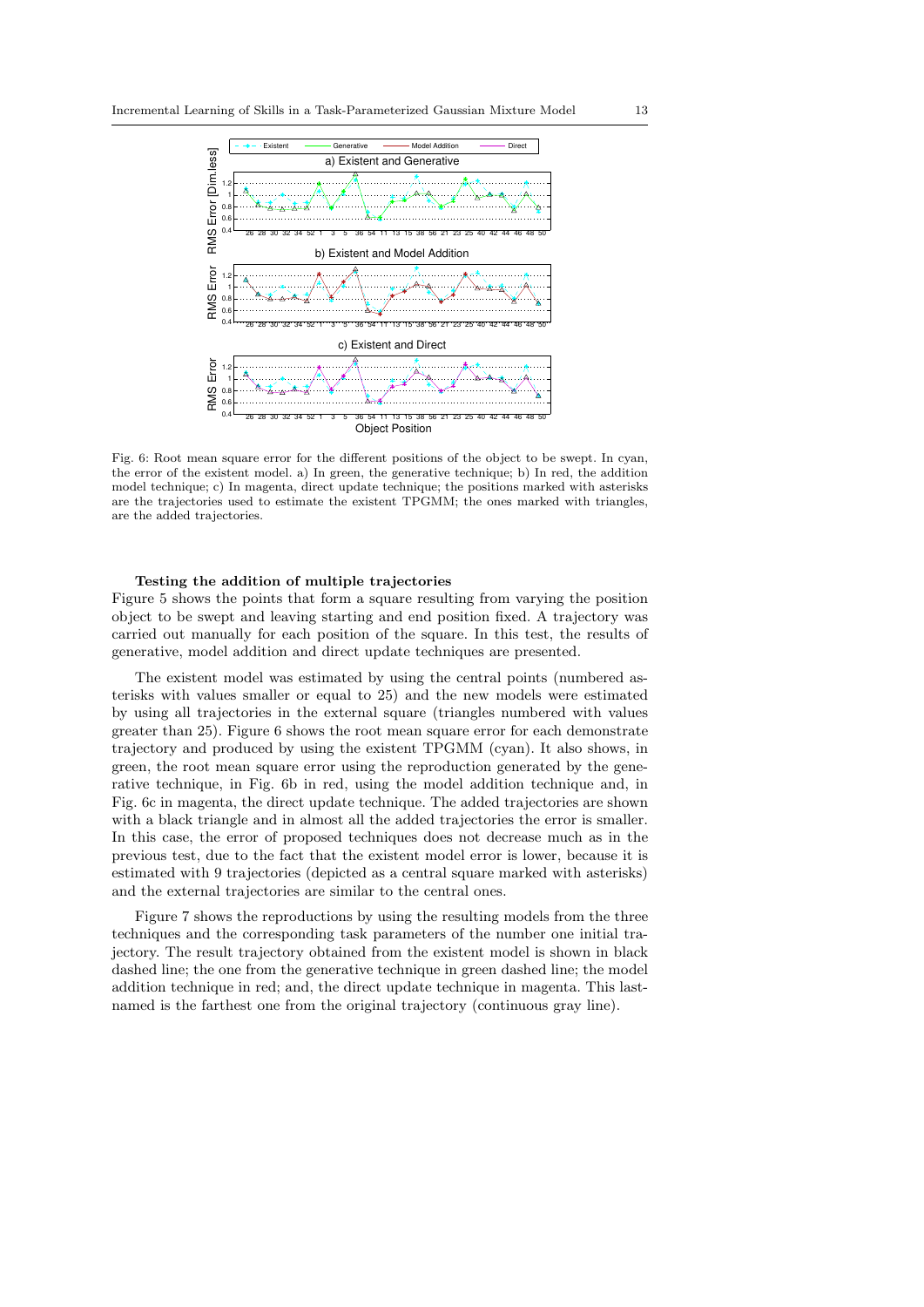

Fig. 6: Root mean square error for the different positions of the object to be swept. In cyan, the error of the existent model. a) In green, the generative technique; b) In red, the addition model technique; c) In magenta, direct update technique; the positions marked with asterisks are the trajectories used to estimate the existent TPGMM; the ones marked with triangles, are the added trajectories.

### Testing the addition of multiple trajectories

Figure 5 shows the points that form a square resulting from varying the position object to be swept and leaving starting and end position fixed. A trajectory was carried out manually for each position of the square. In this test, the results of generative, model addition and direct update techniques are presented.

The existent model was estimated by using the central points (numbered asterisks with values smaller or equal to 25) and the new models were estimated by using all trajectories in the external square (triangles numbered with values greater than 25). Figure 6 shows the root mean square error for each demonstrate trajectory and produced by using the existent TPGMM (cyan). It also shows, in green, the root mean square error using the reproduction generated by the generative technique, in Fig. 6b in red, using the model addition technique and, in Fig. 6c in magenta, the direct update technique. The added trajectories are shown with a black triangle and in almost all the added trajectories the error is smaller. In this case, the error of proposed techniques does not decrease much as in the previous test, due to the fact that the existent model error is lower, because it is estimated with 9 trajectories (depicted as a central square marked with asterisks) and the external trajectories are similar to the central ones.

Figure 7 shows the reproductions by using the resulting models from the three techniques and the corresponding task parameters of the number one initial trajectory. The result trajectory obtained from the existent model is shown in black dashed line; the one from the generative technique in green dashed line; the model addition technique in red; and, the direct update technique in magenta. This lastnamed is the farthest one from the original trajectory (continuous gray line).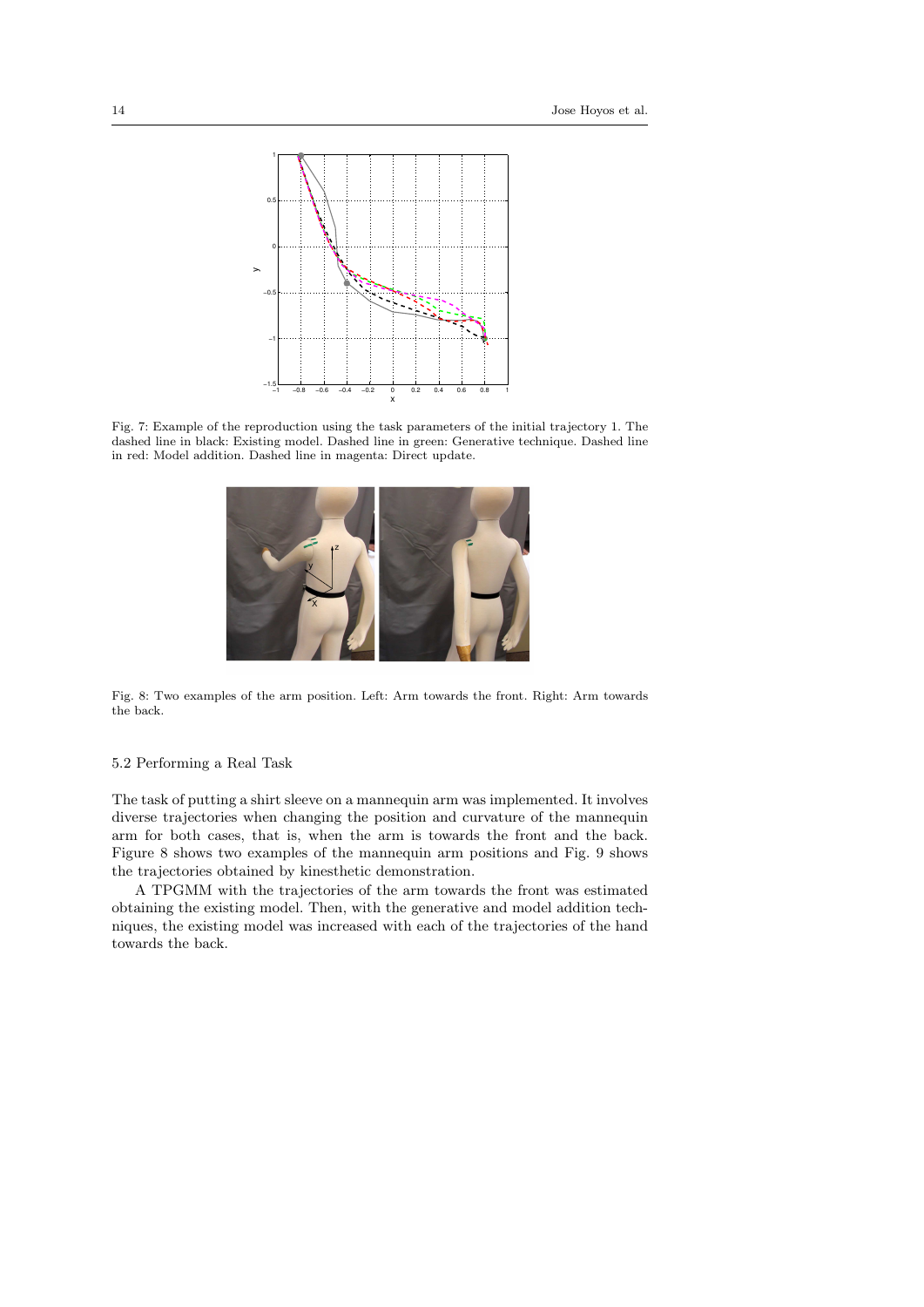

Fig. 7: Example of the reproduction using the task parameters of the initial trajectory 1. The dashed line in black: Existing model. Dashed line in green: Generative technique. Dashed line in red: Model addition. Dashed line in magenta: Direct update.



Fig. 8: Two examples of the arm position. Left: Arm towards the front. Right: Arm towards the back.

## 5.2 Performing a Real Task

The task of putting a shirt sleeve on a mannequin arm was implemented. It involves diverse trajectories when changing the position and curvature of the mannequin arm for both cases, that is, when the arm is towards the front and the back. Figure 8 shows two examples of the mannequin arm positions and Fig. 9 shows the trajectories obtained by kinesthetic demonstration.

A TPGMM with the trajectories of the arm towards the front was estimated obtaining the existing model. Then, with the generative and model addition techniques, the existing model was increased with each of the trajectories of the hand towards the back.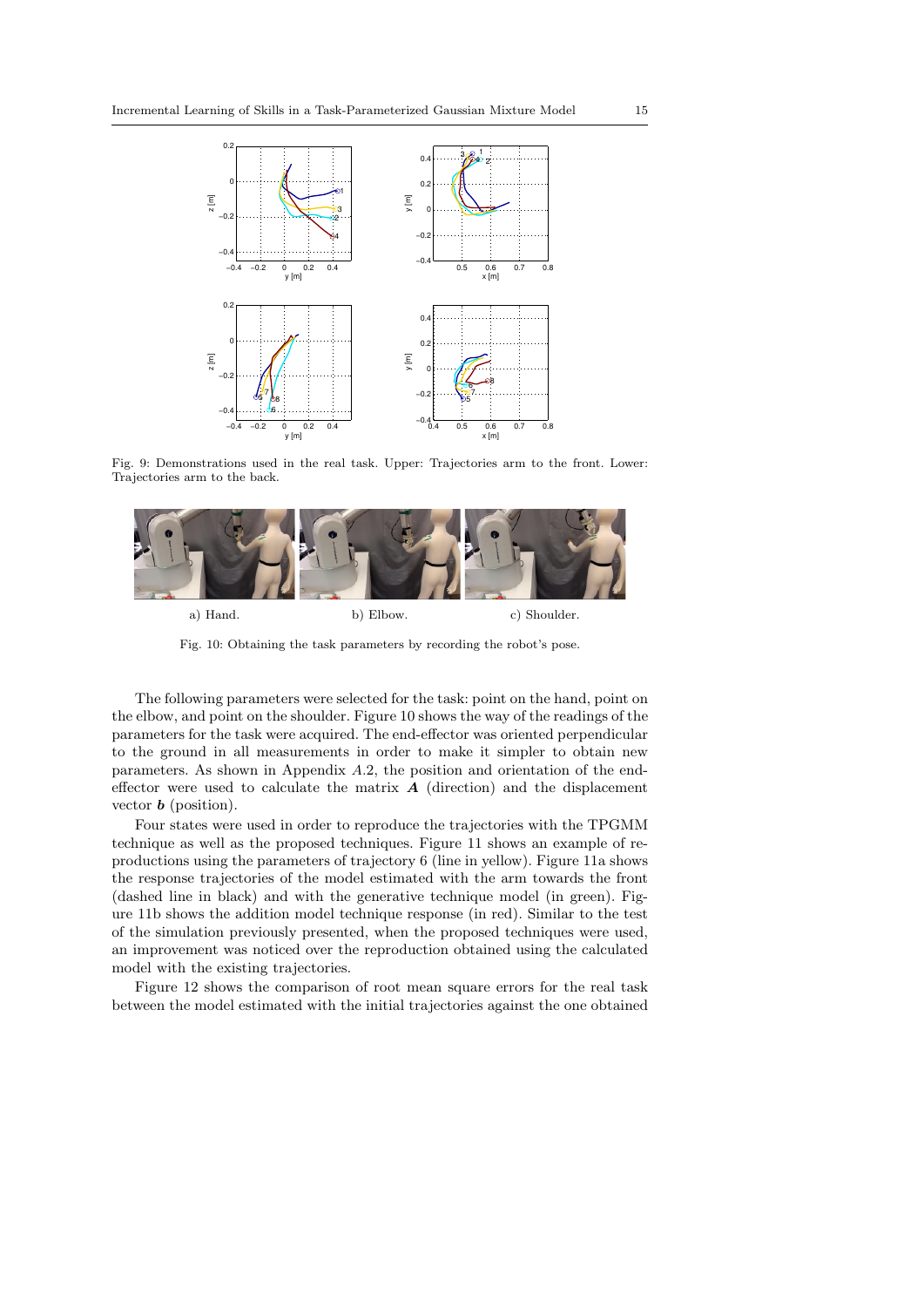

Fig. 9: Demonstrations used in the real task. Upper: Trajectories arm to the front. Lower: Trajectories arm to the back.



Fig. 10: Obtaining the task parameters by recording the robot's pose.

The following parameters were selected for the task: point on the hand, point on the elbow, and point on the shoulder. Figure 10 shows the way of the readings of the parameters for the task were acquired. The end-effector was oriented perpendicular to the ground in all measurements in order to make it simpler to obtain new parameters. As shown in Appendix A.2, the position and orientation of the endeffector were used to calculate the matrix  $\boldsymbol{A}$  (direction) and the displacement vector  $\boldsymbol{b}$  (position).

Four states were used in order to reproduce the trajectories with the TPGMM technique as well as the proposed techniques. Figure 11 shows an example of reproductions using the parameters of trajectory 6 (line in yellow). Figure 11a shows the response trajectories of the model estimated with the arm towards the front (dashed line in black) and with the generative technique model (in green). Figure 11b shows the addition model technique response (in red). Similar to the test of the simulation previously presented, when the proposed techniques were used, an improvement was noticed over the reproduction obtained using the calculated model with the existing trajectories.

Figure 12 shows the comparison of root mean square errors for the real task between the model estimated with the initial trajectories against the one obtained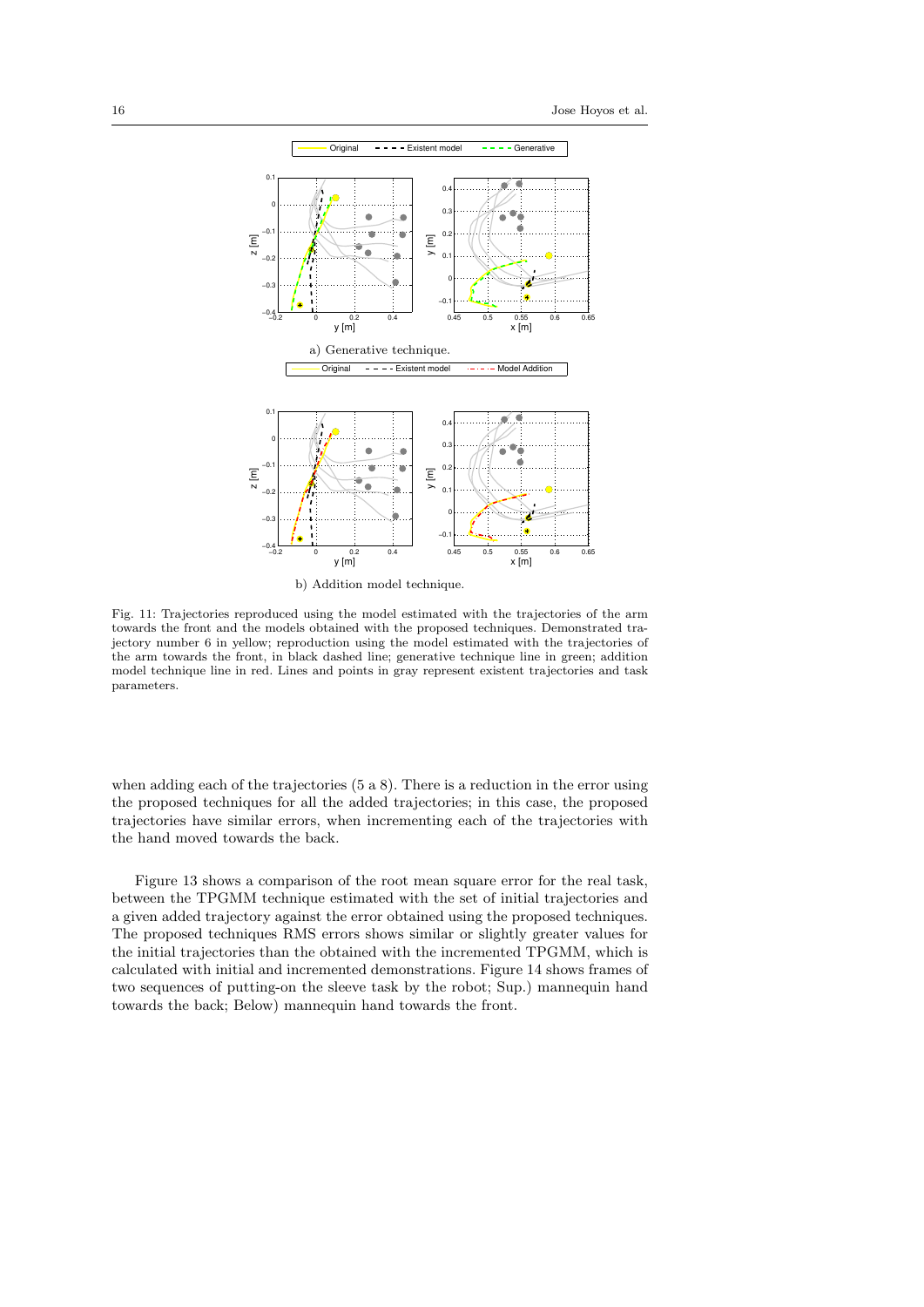

Fig. 11: Trajectories reproduced using the model estimated with the trajectories of the arm towards the front and the models obtained with the proposed techniques. Demonstrated trajectory number 6 in yellow; reproduction using the model estimated with the trajectories of the arm towards the front, in black dashed line; generative technique line in green; addition model technique line in red. Lines and points in gray represent existent trajectories and task parameters.

when adding each of the trajectories (5 a 8). There is a reduction in the error using the proposed techniques for all the added trajectories; in this case, the proposed trajectories have similar errors, when incrementing each of the trajectories with the hand moved towards the back.

Figure 13 shows a comparison of the root mean square error for the real task, between the TPGMM technique estimated with the set of initial trajectories and a given added trajectory against the error obtained using the proposed techniques. The proposed techniques RMS errors shows similar or slightly greater values for the initial trajectories than the obtained with the incremented TPGMM, which is calculated with initial and incremented demonstrations. Figure 14 shows frames of two sequences of putting-on the sleeve task by the robot; Sup.) mannequin hand towards the back; Below) mannequin hand towards the front.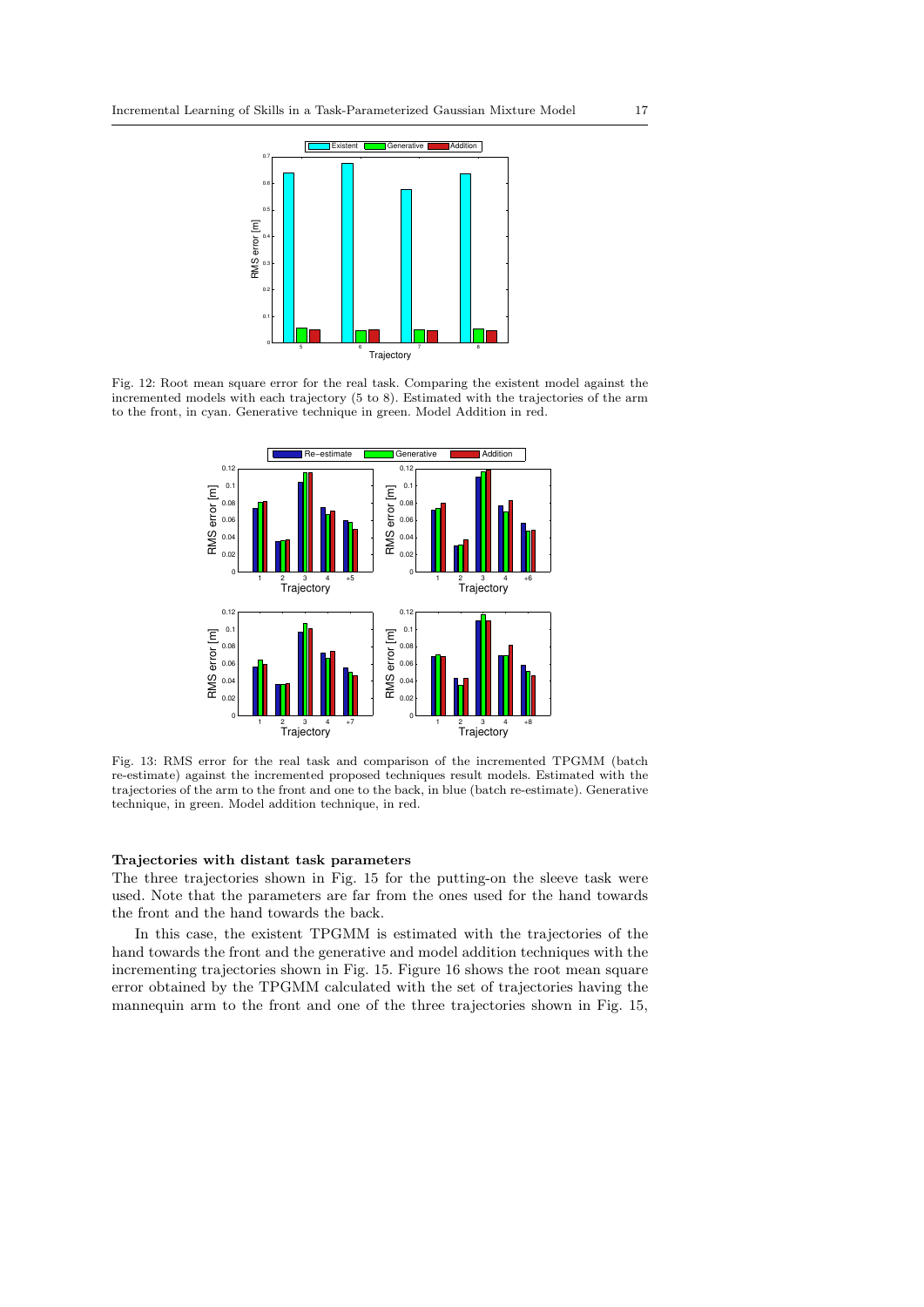

Fig. 12: Root mean square error for the real task. Comparing the existent model against the incremented models with each trajectory (5 to 8). Estimated with the trajectories of the arm to the front, in cyan. Generative technique in green. Model Addition in red.



Fig. 13: RMS error for the real task and comparison of the incremented TPGMM (batch re-estimate) against the incremented proposed techniques result models. Estimated with the trajectories of the arm to the front and one to the back, in blue (batch re-estimate). Generative technique, in green. Model addition technique, in red.

#### Trajectories with distant task parameters

The three trajectories shown in Fig. 15 for the putting-on the sleeve task were used. Note that the parameters are far from the ones used for the hand towards the front and the hand towards the back.

In this case, the existent TPGMM is estimated with the trajectories of the hand towards the front and the generative and model addition techniques with the incrementing trajectories shown in Fig. 15. Figure 16 shows the root mean square error obtained by the TPGMM calculated with the set of trajectories having the mannequin arm to the front and one of the three trajectories shown in Fig. 15,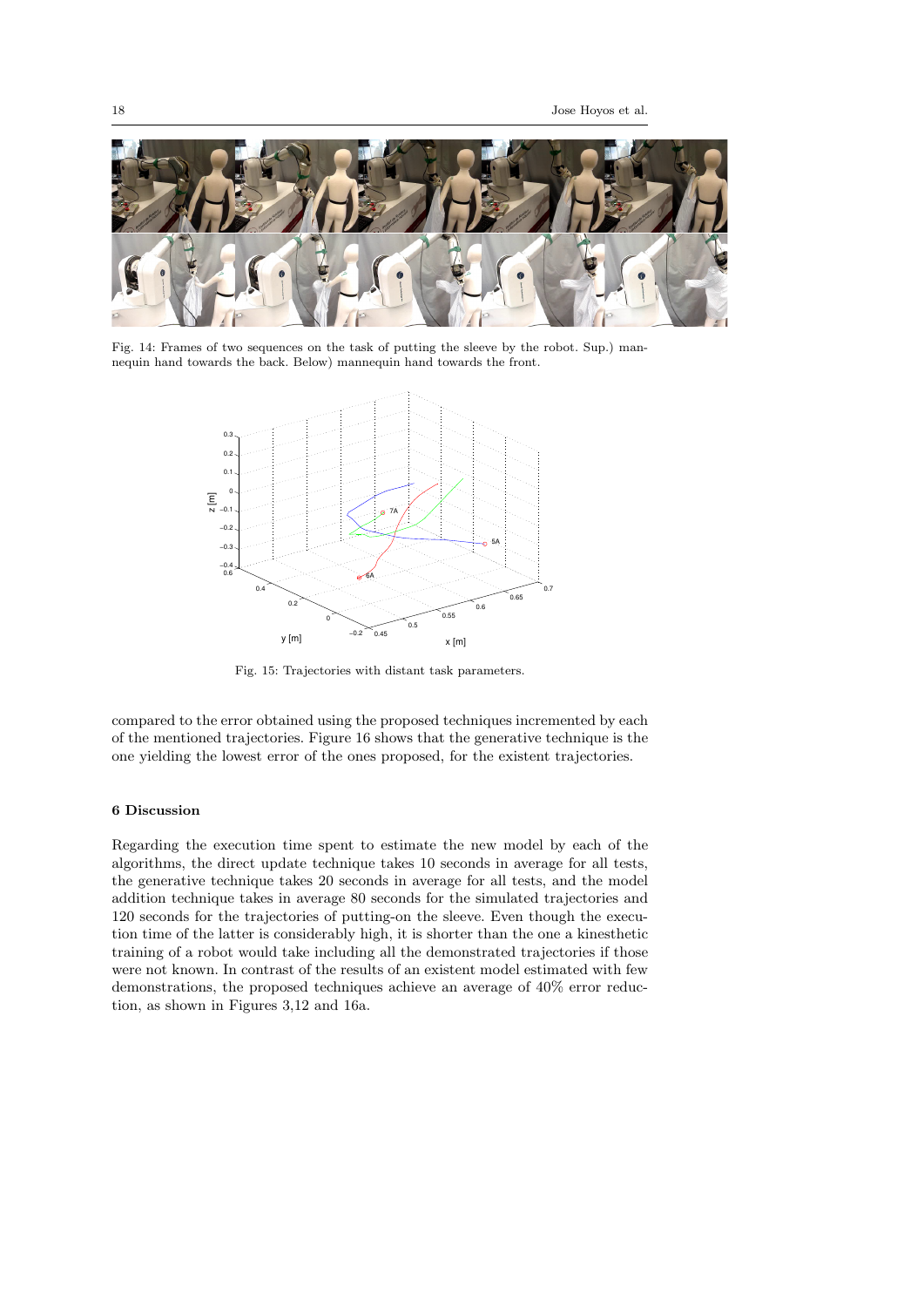

Fig. 14: Frames of two sequences on the task of putting the sleeve by the robot. Sup.) mannequin hand towards the back. Below) mannequin hand towards the front.



Fig. 15: Trajectories with distant task parameters.

compared to the error obtained using the proposed techniques incremented by each of the mentioned trajectories. Figure 16 shows that the generative technique is the one yielding the lowest error of the ones proposed, for the existent trajectories.

### 6 Discussion

Regarding the execution time spent to estimate the new model by each of the algorithms, the direct update technique takes 10 seconds in average for all tests, the generative technique takes 20 seconds in average for all tests, and the model addition technique takes in average 80 seconds for the simulated trajectories and 120 seconds for the trajectories of putting-on the sleeve. Even though the execution time of the latter is considerably high, it is shorter than the one a kinesthetic training of a robot would take including all the demonstrated trajectories if those were not known. In contrast of the results of an existent model estimated with few demonstrations, the proposed techniques achieve an average of 40% error reduction, as shown in Figures 3,12 and 16a.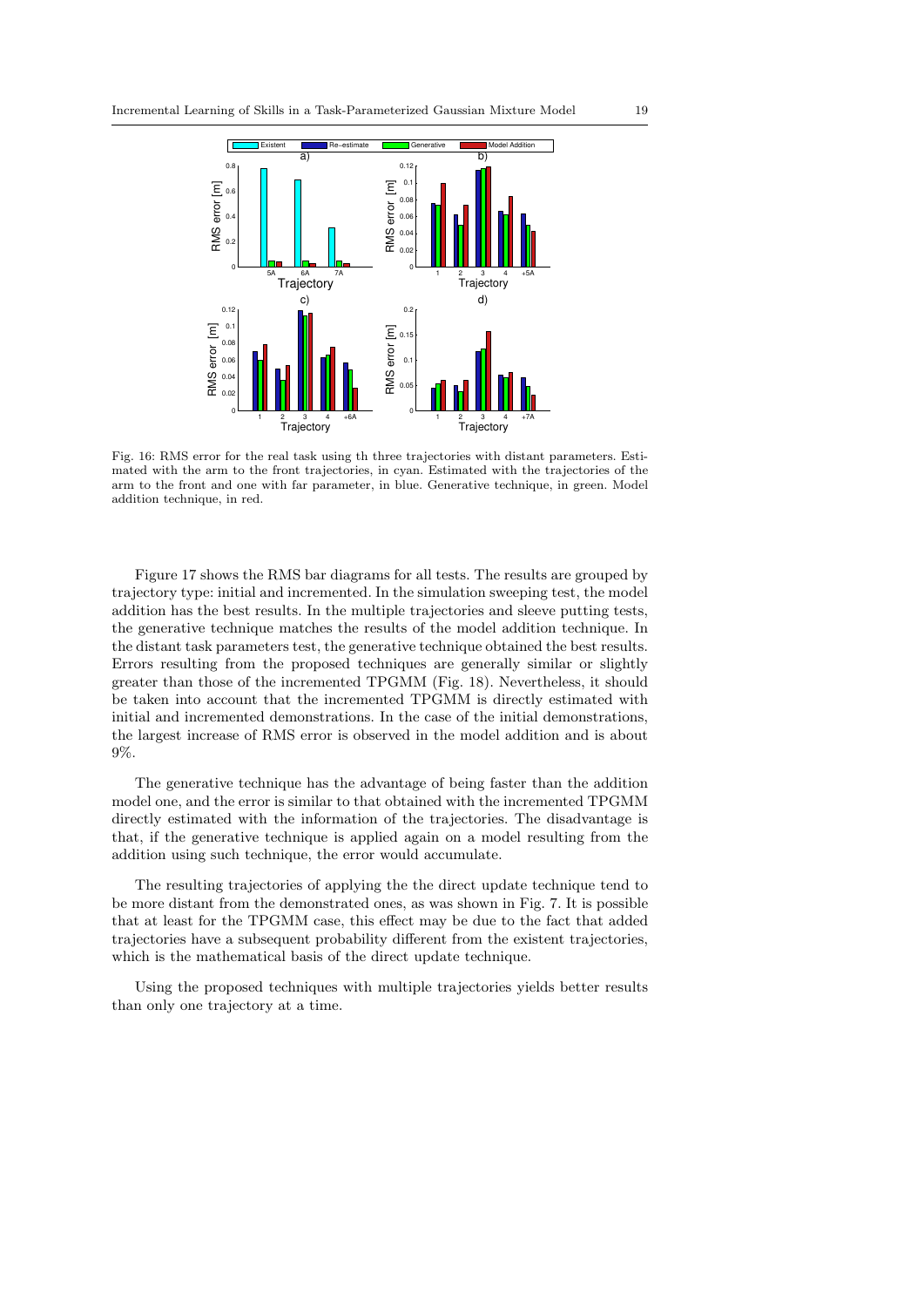

Fig. 16: RMS error for the real task using th three trajectories with distant parameters. Estimated with the arm to the front trajectories, in cyan. Estimated with the trajectories of the arm to the front and one with far parameter, in blue. Generative technique, in green. Model addition technique, in red.

Figure 17 shows the RMS bar diagrams for all tests. The results are grouped by trajectory type: initial and incremented. In the simulation sweeping test, the model addition has the best results. In the multiple trajectories and sleeve putting tests, the generative technique matches the results of the model addition technique. In the distant task parameters test, the generative technique obtained the best results. Errors resulting from the proposed techniques are generally similar or slightly greater than those of the incremented TPGMM (Fig. 18). Nevertheless, it should be taken into account that the incremented TPGMM is directly estimated with initial and incremented demonstrations. In the case of the initial demonstrations, the largest increase of RMS error is observed in the model addition and is about 9%.

The generative technique has the advantage of being faster than the addition model one, and the error is similar to that obtained with the incremented TPGMM directly estimated with the information of the trajectories. The disadvantage is that, if the generative technique is applied again on a model resulting from the addition using such technique, the error would accumulate.

The resulting trajectories of applying the the direct update technique tend to be more distant from the demonstrated ones, as was shown in Fig. 7. It is possible that at least for the TPGMM case, this effect may be due to the fact that added trajectories have a subsequent probability different from the existent trajectories, which is the mathematical basis of the direct update technique.

Using the proposed techniques with multiple trajectories yields better results than only one trajectory at a time.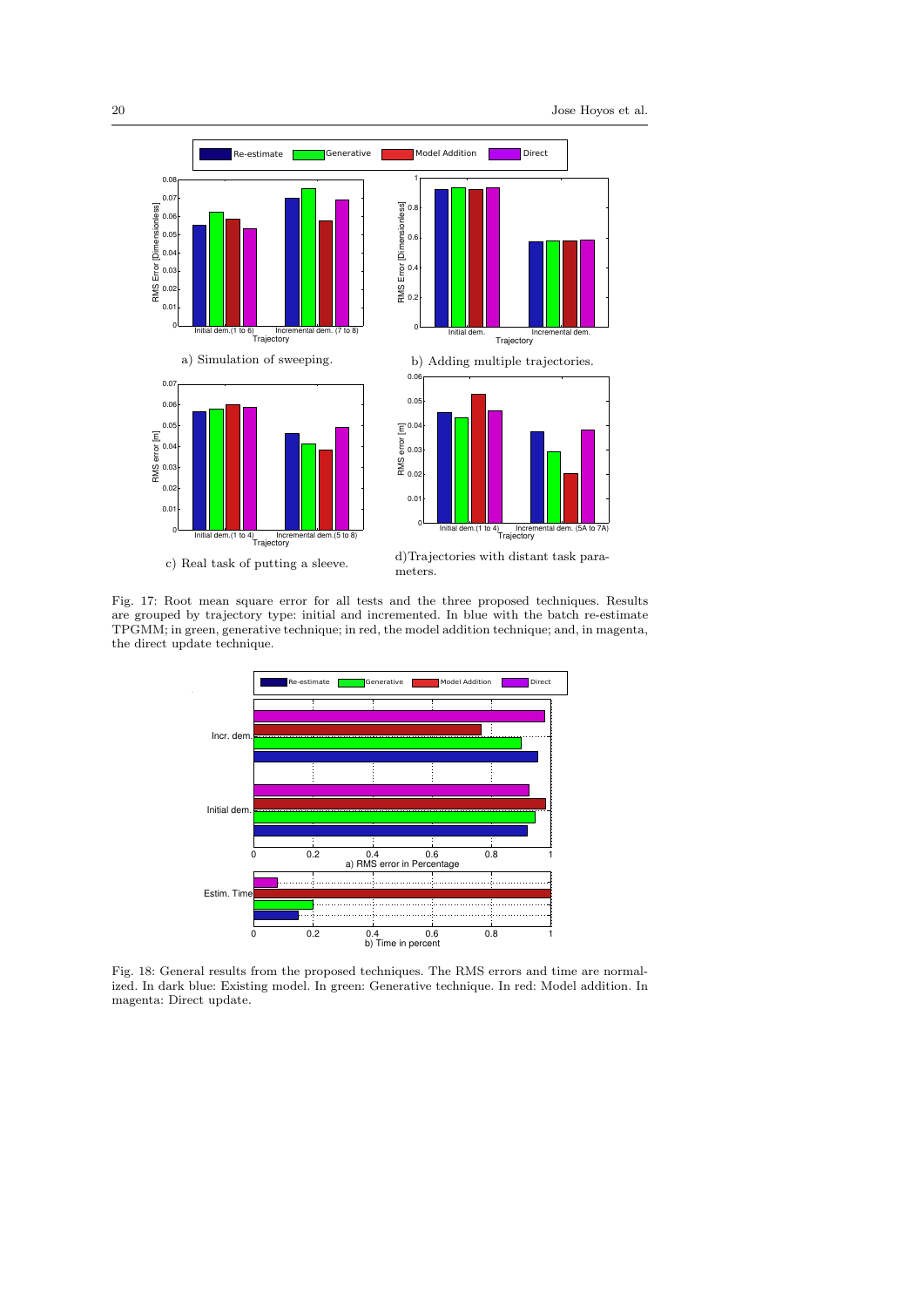

Fig. 17: Root mean square error for all tests and the three proposed techniques. Results are grouped by trajectory type: initial and incremented. In blue with the batch re-estimate TPGMM; in green, generative technique; in red, the model addition technique; and, in magenta, the direct update technique.



Fig. 18: General results from the proposed techniques. The RMS errors and time are normalized. In dark blue: Existing model. In green: Generative technique. In red: Model addition. In magenta: Direct update.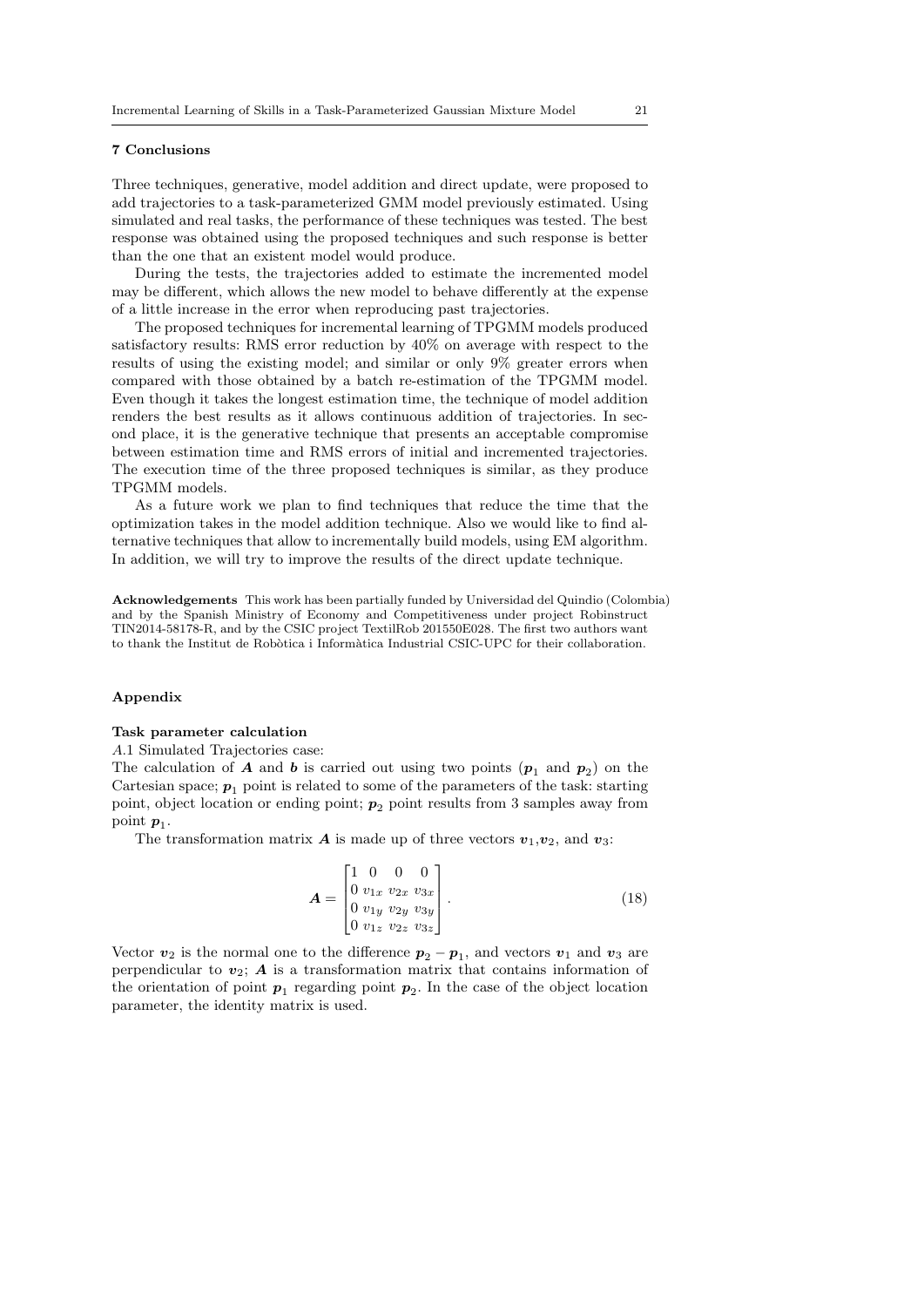### 7 Conclusions

Three techniques, generative, model addition and direct update, were proposed to add trajectories to a task-parameterized GMM model previously estimated. Using simulated and real tasks, the performance of these techniques was tested. The best response was obtained using the proposed techniques and such response is better than the one that an existent model would produce.

During the tests, the trajectories added to estimate the incremented model may be different, which allows the new model to behave differently at the expense of a little increase in the error when reproducing past trajectories.

The proposed techniques for incremental learning of TPGMM models produced satisfactory results: RMS error reduction by 40% on average with respect to the results of using the existing model; and similar or only 9% greater errors when compared with those obtained by a batch re-estimation of the TPGMM model. Even though it takes the longest estimation time, the technique of model addition renders the best results as it allows continuous addition of trajectories. In second place, it is the generative technique that presents an acceptable compromise between estimation time and RMS errors of initial and incremented trajectories. The execution time of the three proposed techniques is similar, as they produce TPGMM models.

As a future work we plan to find techniques that reduce the time that the optimization takes in the model addition technique. Also we would like to find alternative techniques that allow to incrementally build models, using EM algorithm. In addition, we will try to improve the results of the direct update technique.

Acknowledgements This work has been partially funded by Universidad del Quindio (Colombia) and by the Spanish Ministry of Economy and Competitiveness under project Robinstruct TIN2014-58178-R, and by the CSIC project TextilRob 201550E028. The first two authors want to thank the Institut de Robòtica i Informàtica Industrial CSIC-UPC for their collaboration.

### Appendix

#### Task parameter calculation

A.1 Simulated Trajectories case:

The calculation of **A** and **b** is carried out using two points  $(p_1$  and  $p_2)$  on the Cartesian space;  $p_1$  point is related to some of the parameters of the task: starting point, object location or ending point;  $p_2$  point results from 3 samples away from point  $p_1$ .

The transformation matrix **A** is made up of three vectors  $v_1, v_2$ , and  $v_3$ :

$$
\mathbf{A} = \begin{bmatrix} 1 & 0 & 0 & 0 \\ 0 & v_{1x} & v_{2x} & v_{3x} \\ 0 & v_{1y} & v_{2y} & v_{3y} \\ 0 & v_{1z} & v_{2z} & v_{3z} \end{bmatrix} . \tag{18}
$$

Vector  $v_2$  is the normal one to the difference  $p_2 - p_1$ , and vectors  $v_1$  and  $v_3$  are perpendicular to  $v_2$ ; A is a transformation matrix that contains information of the orientation of point  $p_1$  regarding point  $p_2$ . In the case of the object location parameter, the identity matrix is used.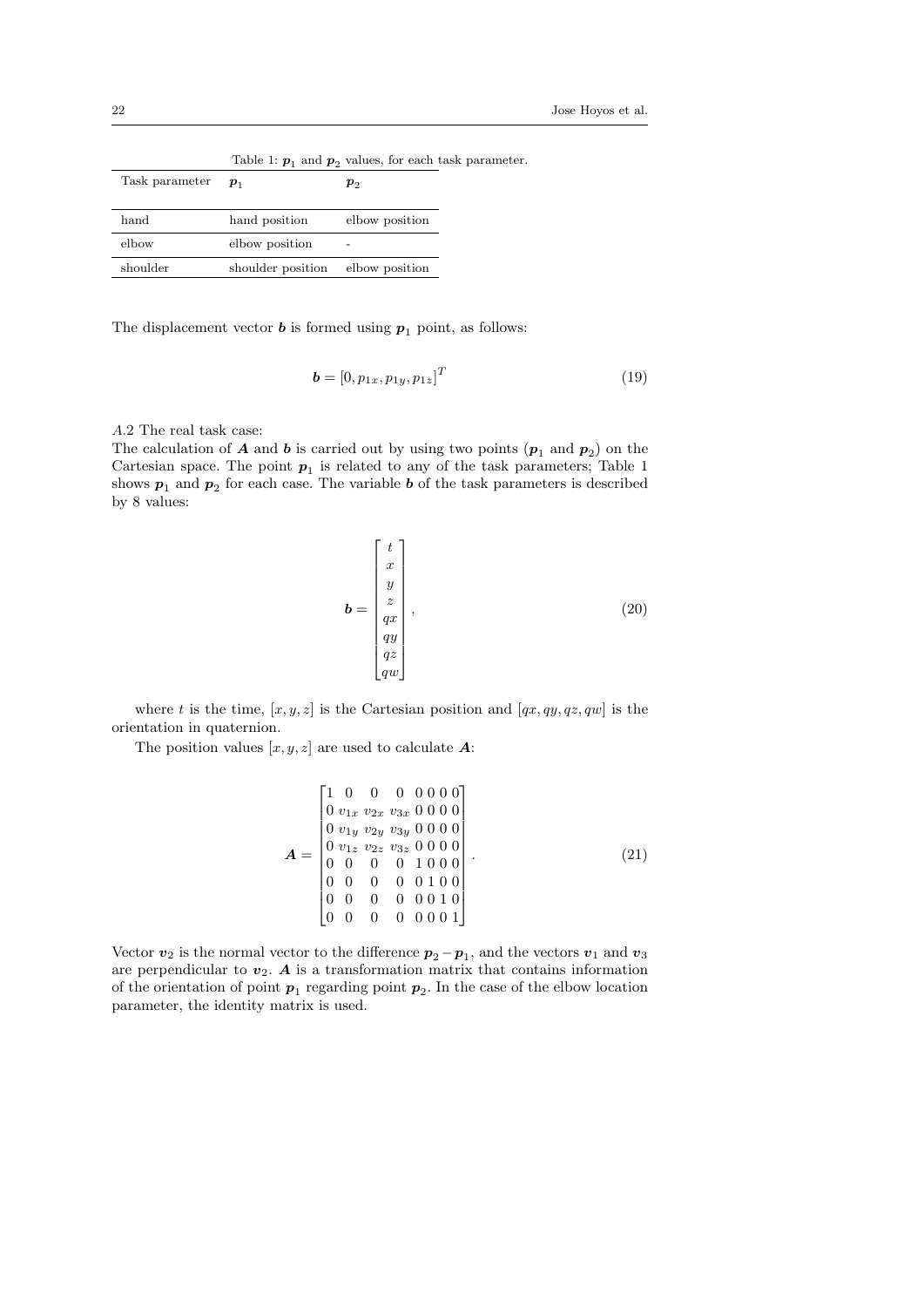|                | Table 1: $p_1$ and $p_2$ values, for each task parameter. |                    |  |
|----------------|-----------------------------------------------------------|--------------------|--|
| Task parameter | $\boldsymbol{p}_1$                                        | $\boldsymbol{p}_2$ |  |
| hand           | hand position                                             | elbow position     |  |
| elbow          | elbow position                                            |                    |  |
| shoulder       | shoulder position                                         | elbow position     |  |

The displacement vector  $\pmb{b}$  is formed using  $\pmb{p}_1$  point, as follows:

$$
\mathbf{b} = [0, p_{1x}, p_{1y}, p_{1z}]^T
$$
\n(19)

A.2 The real task case:

The calculation of **A** and **b** is carried out by using two points  $(p_1 \text{ and } p_2)$  on the Cartesian space. The point  $p_1$  is related to any of the task parameters; Table 1 shows  $p_1$  and  $p_2$  for each case. The variable **b** of the task parameters is described by 8 values:

$$
\boldsymbol{b} = \begin{bmatrix} t \\ x \\ y \\ z \\ qx \\ qy \\ qz \\ qw \end{bmatrix}, \tag{20}
$$

where t is the time,  $[x, y, z]$  is the Cartesian position and  $[qx, qy, qz, qw]$  is the orientation in quaternion.

The position values  $[x, y, z]$  are used to calculate **A**:

$$
\mathbf{A} = \begin{bmatrix} 1 & 0 & 0 & 0 & 0 & 0 & 0 & 0 \\ 0 & v_{1x} & v_{2x} & v_{3x} & 0 & 0 & 0 & 0 \\ 0 & v_{1y} & v_{2y} & v_{3y} & 0 & 0 & 0 & 0 \\ 0 & v_{1z} & v_{2z} & v_{3z} & 0 & 0 & 0 & 0 \\ 0 & 0 & 0 & 0 & 1 & 0 & 0 & 0 \\ 0 & 0 & 0 & 0 & 0 & 1 & 0 & 0 \\ 0 & 0 & 0 & 0 & 0 & 0 & 1 & 0 \\ 0 & 0 & 0 & 0 & 0 & 0 & 0 & 1 \end{bmatrix} . \tag{21}
$$

Vector  $v_2$  is the normal vector to the difference  $p_2 - p_1$ , and the vectors  $v_1$  and  $v_3$ are perpendicular to  $v_2$ . A is a transformation matrix that contains information of the orientation of point  $p_1$  regarding point  $p_2$ . In the case of the elbow location parameter, the identity matrix is used.